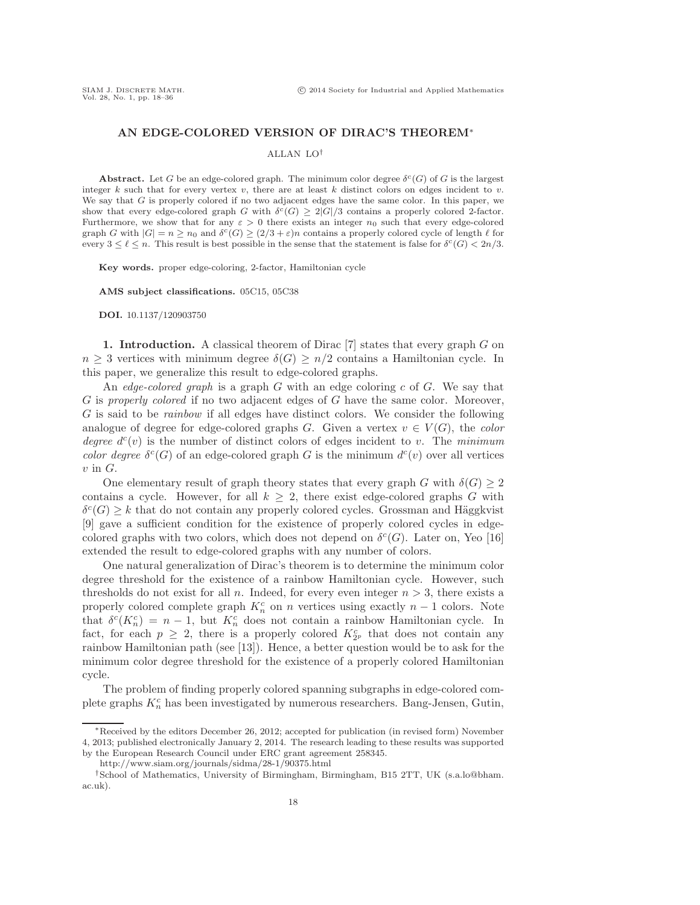# **AN EDGE-COLORED VERSION OF DIRAC'S THEOREM**∗

## ALLAN LO†

**Abstract.** Let G be an edge-colored graph. The minimum color degree  $\delta^c(G)$  of G is the largest integer  $k$  such that for every vertex  $v$ , there are at least  $k$  distinct colors on edges incident to  $v$ . We say that G is properly colored if no two adjacent edges have the same color. In this paper, we show that every edge-colored graph G with  $\delta^{c}(G) \geq 2|G|/3$  contains a properly colored 2-factor. Furthermore, we show that for any  $\varepsilon > 0$  there exists an integer  $n_0$  such that every edge-colored graph G with  $|G| = n \ge n_0$  and  $\delta^c(G) \ge (2/3 + \varepsilon)n$  contains a properly colored cycle of length  $\ell$  for every  $3 \leq \ell \leq n$ . This result is best possible in the sense that the statement is false for  $\delta^{c}(G) < 2n/3$ .

**Key words.** proper edge-coloring, 2-factor, Hamiltonian cycle

**AMS subject classifications.** 05C15, 05C38

**DOI.** 10.1137/120903750

**1. Introduction.** A classical theorem of Dirac [7] states that every graph G on  $n \geq 3$  vertices with minimum degree  $\delta(G) \geq n/2$  contains a Hamiltonian cycle. In this paper, we generalize this result to edge-colored graphs.

An *edge-colored graph* is a graph G with an edge coloring c of G. We say that G is *properly colored* if no two adjacent edges of G have the same color. Moreover, G is said to be *rainbow* if all edges have distinct colors. We consider the following analogue of degree for edge-colored graphs G. Given a vertex  $v \in V(G)$ , the *color degree*  $d^c(v)$  is the number of distinct colors of edges incident to v. The *minimum color degree*  $\delta^{c}(G)$  of an edge-colored graph G is the minimum  $d^{c}(v)$  over all vertices  $v$  in  $G$ .

One elementary result of graph theory states that every graph G with  $\delta(G) \geq 2$ contains a cycle. However, for all  $k \geq 2$ , there exist edge-colored graphs G with  $\delta^{c}(G) \geq k$  that do not contain any properly colored cycles. Grossman and Häggkvist [9] gave a sufficient condition for the existence of properly colored cycles in edgecolored graphs with two colors, which does not depend on  $\delta^c(G)$ . Later on, Yeo [16] extended the result to edge-colored graphs with any number of colors.

One natural generalization of Dirac's theorem is to determine the minimum color degree threshold for the existence of a rainbow Hamiltonian cycle. However, such thresholds do not exist for all n. Indeed, for every even integer  $n > 3$ , there exists a properly colored complete graph  $K_n^c$  on n vertices using exactly  $n-1$  colors. Note that  $\delta^{c}(K_n^c) = n-1$ , but  $K_n^c$  does not contain a rainbow Hamiltonian cycle. In fact, for each  $p \geq 2$ , there is a properly colored  $K_{2p}^c$  that does not contain any rainbow Hamiltonian path (see [13]). Hence, a better question would be to ask for the minimum color degree threshold for the existence of a properly colored Hamiltonian cycle.

The problem of finding properly colored spanning subgraphs in edge-colored complete graphs  $K_n^c$  has been investigated by numerous researchers. Bang-Jensen, Gutin,

<sup>∗</sup>Received by the editors December 26, 2012; accepted for publication (in revised form) November 4, 2013; published electronically January 2, 2014. The research leading to these results was supported by the European Research Council under ERC grant agreement 258345.

http://www.siam.org/journals/sidma/28-1/90375.html

<sup>†</sup>School of Mathematics, University of Birmingham, Birmingham, B15 2TT, UK (s.a.lo@bham. ac.uk).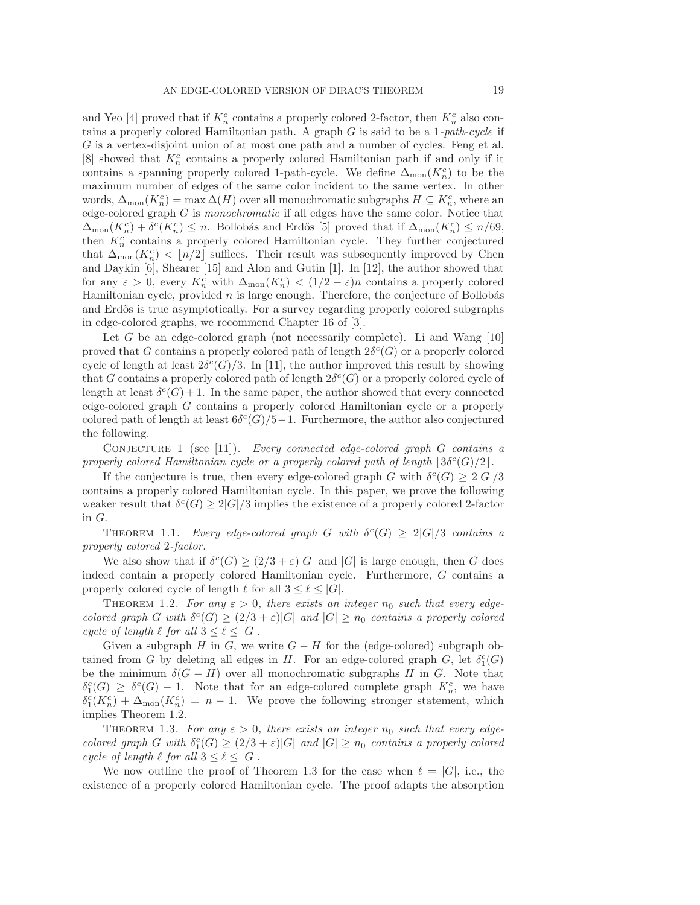and Yeo [4] proved that if  $K_n^c$  contains a properly colored 2-factor, then  $K_n^c$  also contains a properly colored Hamiltonian path. A graph G is said to be a 1*-path-cycle* if G is a vertex-disjoint union of at most one path and a number of cycles. Feng et al.  $[8]$  showed that  $K_n^c$  contains a properly colored Hamiltonian path if and only if it contains a spanning properly colored 1-path-cycle. We define  $\Delta_{\text{mon}}(K_n^c)$  to be the maximum number of edges of the same color incident to the same vertex. In other words,  $\Delta_{\text{mon}}(K_n^c) = \max \Delta(H)$  over all monochromatic subgraphs  $H \subseteq K_n^c$ , where an edge-colored graph G is *monochromatic* if all edges have the same color. Notice that  $\Delta_{\text{mon}}(K_n^c) + \delta^c(K_n^c) \leq n$ . Bollobás and Erdős [5] proved that if  $\Delta_{\text{mon}}(K_n^c) \leq n/69$ , then  $K_n^c$  contains a properly colored Hamiltonian cycle. They further conjectured that  $\Delta_{\text{mon}}(K_n^c) < \lfloor n/2 \rfloor$  suffices. Their result was subsequently improved by Chen and Daykin [6], Shearer [15] and Alon and Gutin [1]. In [12], the author showed that for any  $\varepsilon > 0$ , every  $K_n^c$  with  $\Delta_{\text{mon}}(K_n^c) < (1/2 - \varepsilon)n$  contains a properly colored Hamiltonian cycle, provided  $n$  is large enough. Therefore, the conjecture of Bollobás and Erdős is true asymptotically. For a survey regarding properly colored subgraphs in edge-colored graphs, we recommend Chapter 16 of [3].

Let G be an edge-colored graph (not necessarily complete). Li and Wang  $[10]$ proved that G contains a properly colored path of length  $2\delta^c(G)$  or a properly colored cycle of length at least  $2\delta^{c}(G)/3$ . In [11], the author improved this result by showing that G contains a properly colored path of length  $2\delta^{c}(G)$  or a properly colored cycle of length at least  $\delta^{c}(G) + 1$ . In the same paper, the author showed that every connected edge-colored graph G contains a properly colored Hamiltonian cycle or a properly colored path of length at least  $6\delta^c(G)/5-1$ . Furthermore, the author also conjectured the following.

Conjecture 1 (see [11]). *Every connected edge-colored graph* G *contains a properly colored Hamiltonian cycle or a properly colored path of length*  $|3\delta^c(G)/2|$ .

If the conjecture is true, then every edge-colored graph G with  $\delta^{c}(G) \geq 2|G|/3$ contains a properly colored Hamiltonian cycle. In this paper, we prove the following weaker result that  $\delta^{c}(G) \geq 2|G|/3$  implies the existence of a properly colored 2-factor in G.

THEOREM 1.1. *Every edge-colored graph* G with  $\delta^{c}(G) \geq 2|G|/3$  *contains a properly colored* 2*-factor.*

We also show that if  $\delta^{c}(G) \geq (2/3 + \varepsilon)|G|$  and  $|G|$  is large enough, then G does indeed contain a properly colored Hamiltonian cycle. Furthermore, G contains a properly colored cycle of length  $\ell$  for all  $3 \leq \ell \leq |G|$ .

THEOREM 1.2. *For any*  $\varepsilon > 0$ , *there exists an integer*  $n_0$  *such that every edgecolored graph* G with  $\delta^{c}(G) \geq (2/3 + \varepsilon)|G|$  *and*  $|G| \geq n_0$  *contains a properly colored cycle of length*  $\ell$  *for all*  $3 \leq \ell \leq |G|$ *.* 

Given a subgraph H in G, we write  $G - H$  for the (edge-colored) subgraph obtained from G by deleting all edges in H. For an edge-colored graph G, let  $\delta_1^c(G)$ be the minimum  $\delta(G-H)$  over all monochromatic subgraphs H in G. Note that  $\delta_1^c(G) \geq \delta^c(G) - 1$ . Note that for an edge-colored complete graph  $K_n^c$ , we have  $\delta_1^c(K_n^c) + \Delta_{\text{mon}}(K_n^c) = n - 1$ . We prove the following stronger statement, which implies Theorem 1.2.

THEOREM 1.3. *For any*  $\varepsilon > 0$ , *there exists an integer*  $n_0$  *such that every edgecolored graph* G with  $\delta_1^c(G) \geq (2/3 + \varepsilon)|G|$  *and*  $|G| \geq n_0$  *contains a properly colored cycle of length*  $\ell$  *for all*  $3 \leq \ell \leq |G|$ *.* 

We now outline the proof of Theorem 1.3 for the case when  $\ell = |G|$ , i.e., the existence of a properly colored Hamiltonian cycle. The proof adapts the absorption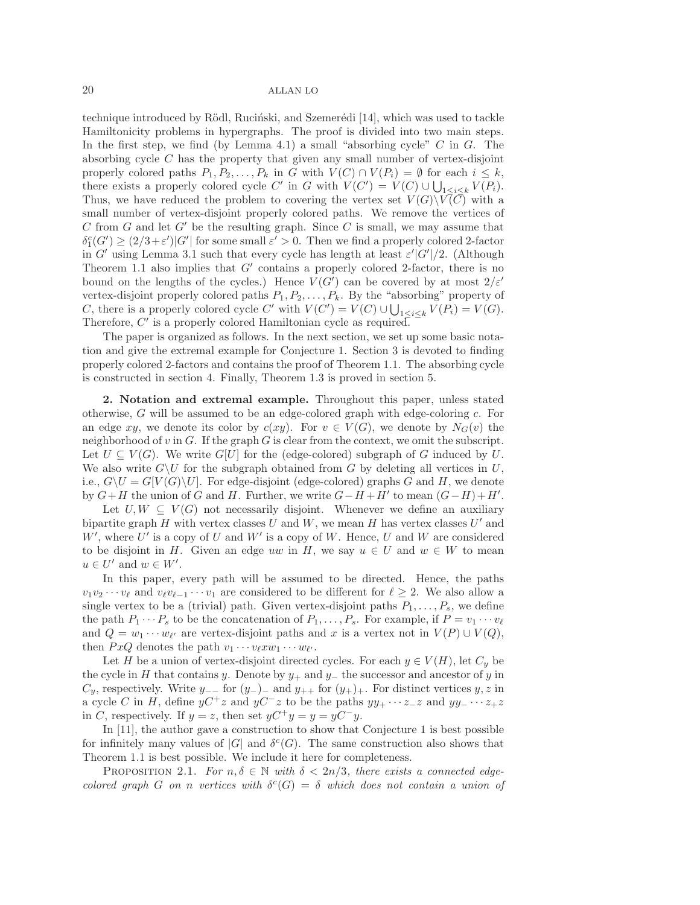technique introduced by Rödl, Ruciński, and Szemerédi [14], which was used to tackle Hamiltonicity problems in hypergraphs. The proof is divided into two main steps. In the first step, we find (by Lemma 4.1) a small "absorbing cycle"  $C$  in  $G$ . The absorbing cycle  $C$  has the property that given any small number of vertex-disjoint properly colored paths  $P_1, P_2, \ldots, P_k$  in G with  $V(C) \cap V(P_i) = \emptyset$  for each  $i \leq k$ , there exists a properly colored cycle C' in G with  $V(C') = V(C) \cup \bigcup_{1 \leq i \leq k} V(P_i)$ . Thus, we have reduced the problem to covering the vertex set  $V(G)\backslash V(\overline{C})$  with a small number of vertex-disjoint properly colored paths. We remove the vertices of C from G and let  $G'$  be the resulting graph. Since C is small, we may assume that  $\delta_1^c(G') \geq (2/3 + \varepsilon')|G'|$  for some small  $\varepsilon' > 0$ . Then we find a properly colored 2-factor in G' using Lemma 3.1 such that every cycle has length at least  $\varepsilon' |G'|/2$ . (Although Theorem 1.1 also implies that  $G'$  contains a properly colored 2-factor, there is no bound on the lengths of the cycles.) Hence  $V(G')$  can be covered by at most  $2/\varepsilon'$ vertex-disjoint properly colored paths  $P_1, P_2, \ldots, P_k$ . By the "absorbing" property of C, there is a properly colored cycle C' with  $V(C') = V(C) \cup \bigcup_{1 \leq i \leq k} V(P_i) = V(G)$ . Therefore,  $C'$  is a properly colored Hamiltonian cycle as required.

The paper is organized as follows. In the next section, we set up some basic notation and give the extremal example for Conjecture 1. Section 3 is devoted to finding properly colored 2-factors and contains the proof of Theorem 1.1. The absorbing cycle is constructed in section 4. Finally, Theorem 1.3 is proved in section 5.

**2. Notation and extremal example.** Throughout this paper, unless stated otherwise,  $G$  will be assumed to be an edge-colored graph with edge-coloring  $c$ . For an edge xy, we denote its color by  $c(xy)$ . For  $v \in V(G)$ , we denote by  $N_G(v)$  the neighborhood of  $v$  in  $G$ . If the graph  $G$  is clear from the context, we omit the subscript. Let  $U \subseteq V(G)$ . We write  $G[U]$  for the (edge-colored) subgraph of G induced by U. We also write  $G\setminus U$  for the subgraph obtained from G by deleting all vertices in U, i.e.,  $G\setminus U = G[V(G)\setminus U]$ . For edge-disjoint (edge-colored) graphs G and H, we denote by  $G+H$  the union of G and H. Further, we write  $G-H+H'$  to mean  $(G-H)+H'$ .

Let  $U, W \subseteq V(G)$  not necessarily disjoint. Whenever we define an auxiliary bipartite graph H with vertex classes U and W, we mean H has vertex classes  $U'$  and  $W'$ , where  $U'$  is a copy of U and W' is a copy of W. Hence, U and W are considered to be disjoint in H. Given an edge uw in H, we say  $u \in U$  and  $w \in W$  to mean  $u \in U'$  and  $w \in W'$ .

In this paper, every path will be assumed to be directed. Hence, the paths  $v_1v_2\cdots v_\ell$  and  $v_\ell v_{\ell-1}\cdots v_1$  are considered to be different for  $\ell \geq 2$ . We also allow a single vertex to be a (trivial) path. Given vertex-disjoint paths  $P_1, \ldots, P_s$ , we define the path  $P_1 \cdots P_s$  to be the concatenation of  $P_1, \ldots, P_s$ . For example, if  $P = v_1 \cdots v_\ell$ and  $Q = w_1 \cdots w_{\ell'}$  are vertex-disjoint paths and x is a vertex not in  $V(P) \cup V(Q)$ , then  $PxQ$  denotes the path  $v_1 \cdots v_{\ell} x w_1 \cdots w_{\ell'}$ .

Let H be a union of vertex-disjoint directed cycles. For each  $y \in V(H)$ , let  $C_y$  be the cycle in H that contains y. Denote by  $y_+$  and  $y_-$  the successor and ancestor of y in  $C_y$ , respectively. Write  $y_{-}$  for  $(y_{-})$  and  $y_{++}$  for  $(y_{+})$ <sub>+</sub>. For distinct vertices y, z in a cycle C in H, define  $yC^+z$  and  $yC^-z$  to be the paths  $yy_+ \cdots z_-z$  and  $yy_- \cdots z_+z$ in C, respectively. If  $y = z$ , then set  $yC^+y = y = yC^-y$ .

In [11], the author gave a construction to show that Conjecture 1 is best possible for infinitely many values of  $|G|$  and  $\delta^c(G)$ . The same construction also shows that Theorem 1.1 is best possible. We include it here for completeness.

PROPOSITION 2.1. *For*  $n, \delta \in \mathbb{N}$  *with*  $\delta < 2n/3$ *, there exists a connected edgecolored graph* G *on n vertices with*  $\delta^{c}(G) = \delta$  *which does not contain a union of*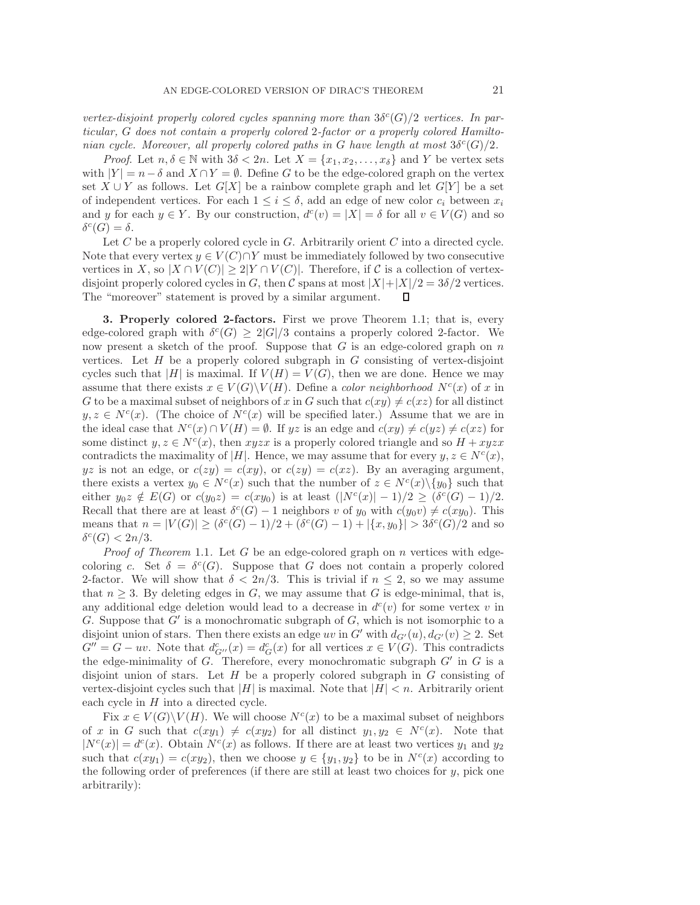*vertex-disjoint properly colored cycles spanning more than*  $3\delta^{c}(G)/2$  *vertices. In particular,* G *does not contain a properly colored* 2*-factor or a properly colored Hamiltonian cycle. Moreover, all properly colored paths in* G *have length at most*  $3\delta^{c}(G)/2$ *.* 

*Proof.* Let  $n, \delta \in \mathbb{N}$  with  $3\delta < 2n$ . Let  $X = \{x_1, x_2, \ldots, x_{\delta}\}\$  and Y be vertex sets with  $|Y| = n - \delta$  and  $X \cap Y = \emptyset$ . Define G to be the edge-colored graph on the vertex set  $X \cup Y$  as follows. Let  $G[X]$  be a rainbow complete graph and let  $G[Y]$  be a set of independent vertices. For each  $1 \leq i \leq \delta$ , add an edge of new color  $c_i$  between  $x_i$ and y for each  $y \in Y$ . By our construction,  $d^c(v) = |X| = \delta$  for all  $v \in V(G)$  and so  $\delta^c(G) = \delta.$ 

Let  $C$  be a properly colored cycle in  $G$ . Arbitrarily orient  $C$  into a directed cycle. Note that every vertex  $y \in V(C) \cap Y$  must be immediately followed by two consecutive vertices in X, so  $|X \cap V(C)| \ge 2|Y \cap V(C)|$ . Therefore, if C is a collection of vertexdisjoint properly colored cycles in G, then C spans at most  $|X|+|X|/2=3\delta/2$  vertices. The "moreover" statement is proved by a similar argument. п

**3. Properly colored 2-factors.** First we prove Theorem 1.1; that is, every edge-colored graph with  $\delta^{c}(G) \geq 2|G|/3$  contains a properly colored 2-factor. We now present a sketch of the proof. Suppose that  $G$  is an edge-colored graph on  $n$ vertices. Let  $H$  be a properly colored subgraph in  $G$  consisting of vertex-disjoint cycles such that |H| is maximal. If  $V(H) = V(G)$ , then we are done. Hence we may assume that there exists  $x \in V(G) \backslash V(H)$ . Define a *color neighborhood*  $N^c(x)$  of x in G to be a maximal subset of neighbors of x in G such that  $c(xy) \neq c(xz)$  for all distinct  $y, z \in N<sup>c</sup>(x)$ . (The choice of  $N<sup>c</sup>(x)$  will be specified later.) Assume that we are in the ideal case that  $N^c(x) \cap V(H) = \emptyset$ . If yz is an edge and  $c(xy) \neq c(yz) \neq c(xz)$  for some distinct  $y, z \in N^{c}(x)$ , then  $xyzx$  is a properly colored triangle and so  $H + xyzx$ contradicts the maximality of |H|. Hence, we may assume that for every  $y, z \in N^c(x)$ , yz is not an edge, or  $c(zy) = c(xy)$ , or  $c(zy) = c(xz)$ . By an averaging argument, there exists a vertex  $y_0 \in N^c(x)$  such that the number of  $z \in N^c(x) \setminus \{y_0\}$  such that either  $y_0z \notin E(G)$  or  $c(y_0z) = c(xy_0)$  is at least  $(|N^c(x)| - 1)/2 \geq (\delta^c(G) - 1)/2$ . Recall that there are at least  $\delta^{c}(G) - 1$  neighbors v of y<sub>0</sub> with  $c(y_0v) \neq c(xy_0)$ . This means that  $n = |V(G)| \ge (\delta^c(G) - 1)/2 + (\delta^c(G) - 1) + |\{x, y_0\}| > 3\delta^c(G)/2$  and so  $\delta^c(G) < 2n/3$ .

*Proof of Theorem* 1.1*.* Let G be an edge-colored graph on n vertices with edgecoloring c. Set  $\delta = \delta^c(G)$ . Suppose that G does not contain a properly colored 2-factor. We will show that  $\delta < 2n/3$ . This is trivial if  $n \leq 2$ , so we may assume that  $n \geq 3$ . By deleting edges in G, we may assume that G is edge-minimal, that is, any additional edge deletion would lead to a decrease in  $d^c(v)$  for some vertex v in G. Suppose that  $G'$  is a monochromatic subgraph of  $G$ , which is not isomorphic to a disjoint union of stars. Then there exists an edge uv in G' with  $d_{G'}(u)$ ,  $d_{G'}(v) \geq 2$ . Set  $G'' = G - uv$ . Note that  $d_{G''}^c(x) = d_G^c(x)$  for all vertices  $x \in V(G)$ . This contradicts the edge-minimality of  $G$ . Therefore, every monochromatic subgraph  $G'$  in  $G$  is a disjoint union of stars. Let  $H$  be a properly colored subgraph in  $G$  consisting of vertex-disjoint cycles such that  $|H|$  is maximal. Note that  $|H| < n$ . Arbitrarily orient each cycle in  $H$  into a directed cycle.

Fix  $x \in V(G) \backslash V(H)$ . We will choose  $N^{c}(x)$  to be a maximal subset of neighbors of x in G such that  $c(xy_1) \neq c(xy_2)$  for all distinct  $y_1, y_2 \in N^c(x)$ . Note that  $|N^{c}(x)| = d^{c}(x)$ . Obtain  $N^{c}(x)$  as follows. If there are at least two vertices  $y_1$  and  $y_2$ such that  $c(xy_1) = c(xy_2)$ , then we choose  $y \in \{y_1, y_2\}$  to be in  $N^c(x)$  according to the following order of preferences (if there are still at least two choices for  $y$ , pick one arbitrarily):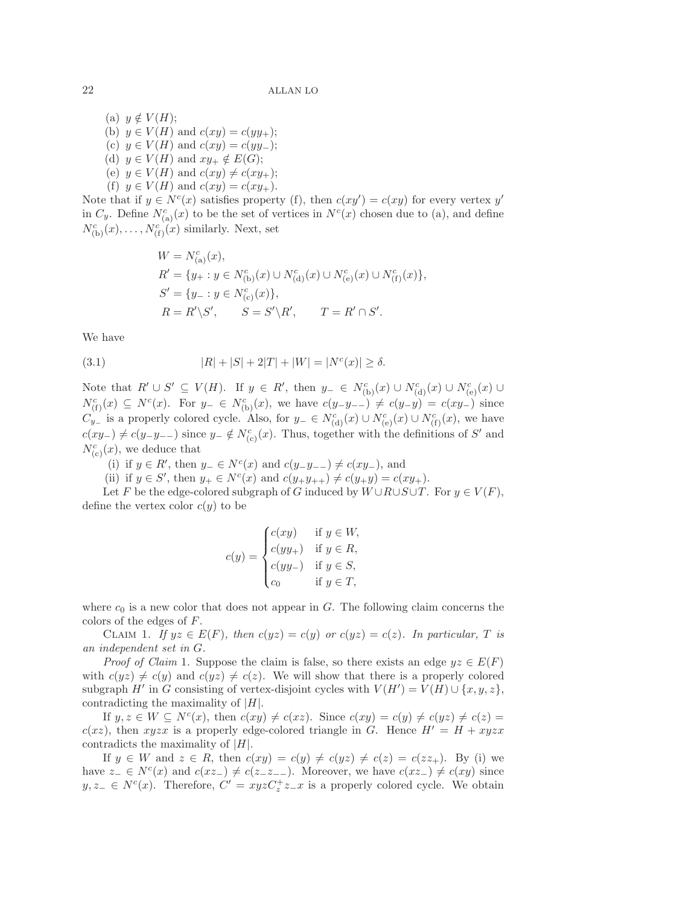(a)  $y \notin V(H);$ (b)  $y \in V(H)$  and  $c(xy) = c(yy_+)$ ; (c)  $y \in V(H)$  and  $c(xy) = c(yy_$ ); (d)  $y \in V(H)$  and  $xy_+ \notin E(G);$ (e)  $y \in V(H)$  and  $c(xy) \neq c(xy_+);$ (f)  $y \in V(H)$  and  $c(xy) = c(xy_+)$ .

Note that if  $y \in N^{c}(x)$  satisfies property (f), then  $c(xy') = c(xy)$  for every vertex y' in  $C_y$ . Define  $N_{(a)}^c(x)$  to be the set of vertices in  $N^c(x)$  chosen due to (a), and define  $N_{(b)}^c(x), \ldots, N_{(f)}^c(x)$  similarly. Next, set

$$
\begin{aligned} &{\cal W}={\cal N}^c_{({\rm a})}(x),\\ &{\cal R}'=\{y_+:y\in {\cal N}^c_{({\rm b})}(x)\cup {\cal N}^c_{({\rm d})}(x)\cup {\cal N}^c_{({\rm e})}(x)\cup {\cal N}^c_{({\rm f})}(x)\},\\ &{\cal S}'=\{y_-\,:y\in {\cal N}^c_{({\rm c})}(x)\},\\ &{\cal R}={\cal R}'\backslash{\cal S}',\qquad {\cal S}={\cal S}'\backslash{\cal R}',\qquad {\cal T}={\cal R}'\cap{\cal S}'. \end{aligned}
$$

We have

(3.1) 
$$
|R| + |S| + 2|T| + |W| = |N^{c}(x)| \ge \delta.
$$

Note that  $R' \cup S' \subseteq V(H)$ . If  $y \in R'$ , then  $y_{-} \in N_{(b)}^{c}(x) \cup N_{(d)}^{c}(x) \cup N_{(e)}^{c}(x) \cup$  $N_{(\text{f})}^c(x) \subseteq N^c(x)$ . For  $y_- \in N_{(\text{b})}^c(x)$ , we have  $c(y-y_-) \neq c(y-y) = c(xy_-)$  since  $C_{y-}^{(1)}$  is a properly colored cycle. Also, for  $y = \in N_{(d)}^c(x) \cup N_{(e)}^c(x) \cup N_{(f)}^c(x)$ , we have  $c(xy_{-}) \neq c(y_{-}y_{--})$  since  $y_{-} \notin N_{(c)}^{c}(x)$ . Thus, together with the definitions of S' and  $N_{(c)}^c(x)$ , we deduce that

(i) if  $y \in R'$ , then  $y_-\in N^c(x)$  and  $c(y-y_{--}) \neq c(xy_-)$ , and

(ii) if  $y \in S'$ , then  $y_+ \in N^c(x)$  and  $c(y_+y_{++}) \neq c(y_+y) = c(xy_+).$ 

Let F be the edge-colored subgraph of G induced by  $W \cup R \cup S \cup T$ . For  $y \in V(F)$ , define the vertex color  $c(y)$  to be

$$
c(y) = \begin{cases} c(xy) & \text{if } y \in W, \\ c(yy_+) & \text{if } y \in R, \\ c(yy_-) & \text{if } y \in S, \\ c_0 & \text{if } y \in T, \end{cases}
$$

where  $c_0$  is a new color that does not appear in G. The following claim concerns the colors of the edges of F.

CLAIM 1. *If*  $yz \in E(F)$ *, then*  $c(yz) = c(y)$  *or*  $c(yz) = c(z)$ *. In particular, T is an independent set in* G*.*

*Proof of Claim* 1. Suppose the claim is false, so there exists an edge  $yz \in E(F)$ with  $c(yz) \neq c(y)$  and  $c(yz) \neq c(z)$ . We will show that there is a properly colored subgraph  $H'$  in G consisting of vertex-disjoint cycles with  $V(H') = V(H) \cup \{x, y, z\}$ , contradicting the maximality of  $|H|$ .

If  $y, z \in W \subseteq N^c(x)$ , then  $c(xy) \neq c(xz)$ . Since  $c(xy) = c(y) \neq c(yz) \neq c(z)$  $c(xz)$ , then xyzx is a properly edge-colored triangle in G. Hence  $H' = H + xyzx$ contradicts the maximality of  $|H|$ .

If  $y \in W$  and  $z \in R$ , then  $c(xy) = c(y) \neq c(yz) \neq c(z) = c(zz_+)$ . By (i) we have  $z_-\in N^c(x)$  and  $c(xz_-) \neq c(z_-z_{--})$ . Moreover, we have  $c(xz_-) \neq c(xy)$  since  $y, z_- \in N^c(x)$ . Therefore,  $C' = xyzC_z^+z_x$  is a properly colored cycle. We obtain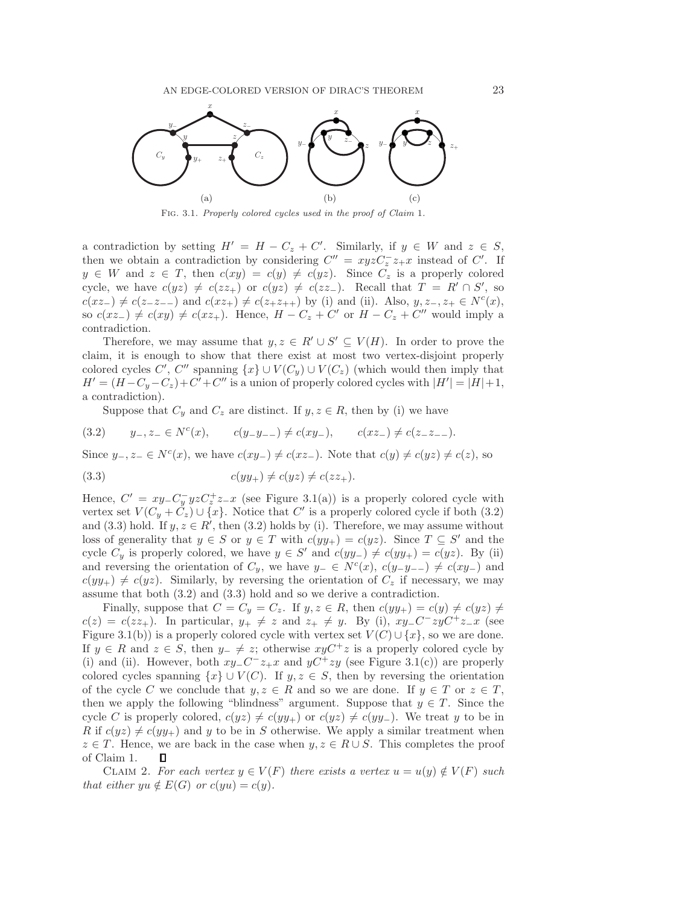

Fig. 3.1. Properly colored cycles used in the proof of Claim 1.

a contradiction by setting  $H' = H - C_z + C'$ . Similarly, if  $y \in W$  and  $z \in S$ , then we obtain a contradiction by considering  $C'' = xyzC_z^- z_+x$  instead of C'. If  $y \in W$  and  $z \in T$ , then  $c(xy) = c(y) \neq c(yz)$ . Since  $C_z$  is a properly colored cycle, we have  $c(yz) \neq c(zz_+)$  or  $c(yz) \neq c(zz_-)$ . Recall that  $T = R' \cap S'$ , so  $c(xz_{-}) \neq c(z_{-}z_{--})$  and  $c(xz_{+}) \neq c(z_{+}z_{++})$  by (i) and (ii). Also,  $y, z_{-}, z_{+} \in N^{c}(x)$ , so  $c(xz_+) \neq c(xy) \neq c(xz_+)$ . Hence,  $H - C_z + C'$  or  $H - C_z + C''$  would imply a contradiction.

Therefore, we may assume that  $y, z \in R' \cup S' \subseteq V(H)$ . In order to prove the claim, it is enough to show that there exist at most two vertex-disjoint properly colored cycles C', C'' spanning  $\{x\} \cup V(C_y) \cup V(C_z)$  (which would then imply that  $H' = (H - C_y - C_z) + C' + C''$  is a union of properly colored cycles with  $|H'| = |H| + 1$ , a contradiction).

Suppose that  $C_y$  and  $C_z$  are distinct. If  $y, z \in R$ , then by (i) we have

(3.2)  $y_-, z_+ \in N^c(x), \qquad c(y_-y_{-+}) \neq c(xy_-), \qquad c(xz_-) \neq c(z_-z_{-+}).$ 

Since  $y_-, z_-\in N^c(x)$ , we have  $c(xy_-)\neq c(xz_-)$ . Note that  $c(y)\neq c(yz)\neq c(z)$ , so

$$
(3.3) \t\t c(yy_+) \neq c(yz) \neq c(zz_+).
$$

Hence,  $C' = xy - C_y^{-} yzC_z^+ z - x$  (see Figure 3.1(a)) is a properly colored cycle with vertex set  $V(C_y + C_z) \cup \{x\}$ . Notice that C' is a properly colored cycle if both (3.2) and (3.3) hold. If  $y, z \in R'$ , then (3.2) holds by (i). Therefore, we may assume without loss of generality that  $y \in S$  or  $y \in T$  with  $c(yy_+) = c(yz)$ . Since  $T \subseteq S'$  and the cycle  $C_y$  is properly colored, we have  $y \in S'$  and  $c(yy_{-}) \neq c(yy_{+}) = c(yz)$ . By (ii) and reversing the orientation of  $C_y$ , we have  $y_-\in N^c(x)$ ,  $c(y_-\overline{y_-\})\neq c(xy_-)$  and  $c(yy_+) \neq c(yz)$ . Similarly, by reversing the orientation of  $C_z$  if necessary, we may assume that both (3.2) and (3.3) hold and so we derive a contradiction.

Finally, suppose that  $C = C_y = C_z$ . If  $y, z \in R$ , then  $c(yy_+) = c(y) \neq c(yz) \neq 0$  $c(z) = c(zz_+)$ . In particular,  $y_+ \neq z$  and  $z_+ \neq y$ . By (i),  $xy_-C^-zyC^+z_-x$  (see Figure 3.1(b)) is a properly colored cycle with vertex set  $V(C) \cup \{x\}$ , so we are done. If  $y \in R$  and  $z \in S$ , then  $y_-\neq z$ ; otherwise  $xyC^+z$  is a properly colored cycle by (i) and (ii). However, both  $xy-C^-z_+x$  and  $yC^+zy$  (see Figure 3.1(c)) are properly colored cycles spanning  $\{x\} \cup V(C)$ . If  $y, z \in S$ , then by reversing the orientation of the cycle C we conclude that  $y, z \in R$  and so we are done. If  $y \in T$  or  $z \in T$ , then we apply the following "blindness" argument. Suppose that  $y \in T$ . Since the cycle C is properly colored,  $c(yz) \neq c(yy_+)$  or  $c(yz) \neq c(yy_-)$ . We treat y to be in R if  $c(yz) \neq c(yy_+)$  and y to be in S otherwise. We apply a similar treatment when  $z \in T$ . Hence, we are back in the case when  $y, z \in R \cup S$ . This completes the proof of Claim 1.  $\Box$ 

CLAIM 2. For each vertex  $y \in V(F)$  there exists a vertex  $u = u(y) \notin V(F)$  such *that either*  $yu \notin E(G)$  *or*  $c(yu) = c(y)$ *.*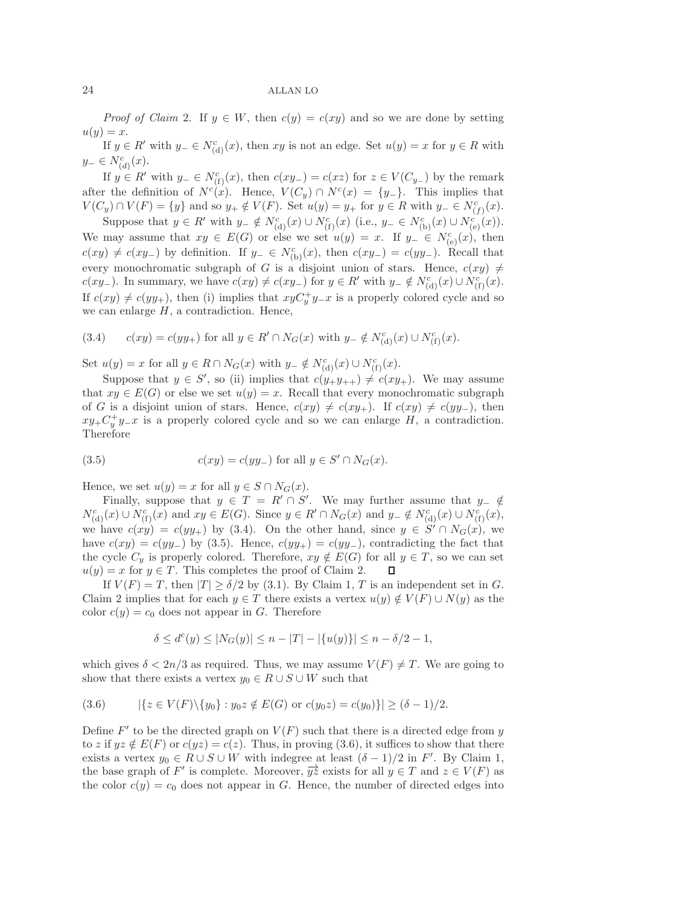*Proof of Claim* 2. If  $y \in W$ , then  $c(y) = c(xy)$  and so we are done by setting  $u(y) = x.$ 

If  $y \in R'$  with  $y_-\in N^c_{(d)}(x)$ , then  $xy$  is not an edge. Set  $u(y)=x$  for  $y\in R$  with  $y_-\in N^c_{(d)}(x)$ .

If  $y \in R'$  with  $y_-\in N_{(f)}^c(x)$ , then  $c(xy_-)=c(xz)$  for  $z\in V(C_{y_-})$  by the remark after the definition of  $N^c(x)$ . Hence,  $V(C_y) \cap N^c(x) = \{y_-\}$ . This implies that  $V(C_y) \cap V(F) = \{y\}$  and so  $y_+ \notin V(F)$ . Set  $u(y) = y_+$  for  $y \in R$  with  $y_- \in N_{(f)}^c(x)$ .

Suppose that  $y \in R'$  with  $y_-\notin N_{(d)}^c(x) \cup N_{(f)}^c(x)$  (i.e.,  $y_-\in N_{(b)}^c(x) \cup N_{(e)}^{c'}(x)$ ). We may assume that  $xy \in E(G)$  or else we set  $u(y) = x$ . If  $y^{-} \in N_{(e)}^c(x)$ , then  $c(xy) \neq c(xy)$  by definition. If  $y_-\in N^c_{(b)}(x)$ , then  $c(xy_-)=c(yy_-$ ). Recall that every monochromatic subgraph of G is a disjoint union of stars. Hence,  $c(xy) \neq$  $c(xy)$ . In summary, we have  $c(xy) \neq c(xy)$  for  $y \in R'$  with  $y = \notin N_{(d)}^c(x) \cup N_{(f)}^c(x)$ . If  $c(xy) \neq c(yy_+)$ , then (i) implies that  $xyC_y^+y=x$  is a properly colored cycle and so we can enlarge  $H$ , a contradiction. Hence,

(3.4) 
$$
c(xy) = c(yy_+)
$$
 for all  $y \in R' \cap N_G(x)$  with  $y_- \notin N_{(d)}^c(x) \cup N_{(f)}^c(x)$ .

Set  $u(y) = x$  for all  $y \in R \cap N_G(x)$  with  $y_{-} \notin N_{(d)}^c(x) \cup N_{(f)}^c(x)$ .

Suppose that  $y \in S'$ , so (ii) implies that  $c(y_+y_{++}) \neq c(xy_+)$ . We may assume that  $xy \in E(G)$  or else we set  $u(y) = x$ . Recall that every monochromatic subgraph of G is a disjoint union of stars. Hence,  $c(xy) \neq c(xy_+)$ . If  $c(xy) \neq c(yy_-$ , then  $xy+C_y^+y-x$  is a properly colored cycle and so we can enlarge H, a contradiction. Therefore

(3.5) 
$$
c(xy) = c(yy_{-}) \text{ for all } y \in S' \cap N_G(x).
$$

Hence, we set  $u(y) = x$  for all  $y \in S \cap N_G(x)$ .

Finally, suppose that  $y \in T = R' \cap S'$ . We may further assume that  $y_{-} \notin$  $N_{(\mathbf{d})}^c(x) \cup N_{(\mathbf{f})}^c(x)$  and  $xy \in E(G)$ . Since  $y \in R' \cap N_G(x)$  and  $y_{-} \notin N_{(\mathbf{d})}^c(x) \cup N_{(\mathbf{f})}^c(x)$ , we have  $c(xy) = c(yy_+)$  by (3.4). On the other hand, since  $y \in S' \cap N_G(x)$ , we have  $c(xy) = c(yy_)$  by (3.5). Hence,  $c(yy_+) = c(yy_-)$ , contradicting the fact that the cycle  $C_y$  is properly colored. Therefore,  $xy \notin E(G)$  for all  $y \in T$ , so we can set  $u(y) = x$  for  $y \in T$ . This completes the proof of Claim 2. Л

If  $V(F) = T$ , then  $|T| \ge \delta/2$  by (3.1). By Claim 1, T is an independent set in G. Claim 2 implies that for each  $y \in T$  there exists a vertex  $u(y) \notin V(F) \cup N(y)$  as the color  $c(y) = c_0$  does not appear in G. Therefore

$$
\delta \le d^c(y) \le |N_G(y)| \le n - |T| - |\{u(y)\}| \le n - \delta/2 - 1,
$$

which gives  $\delta < 2n/3$  as required. Thus, we may assume  $V(F) \neq T$ . We are going to show that there exists a vertex  $y_0 \in R \cup S \cup W$  such that

$$
(3.6) \qquad |\{z \in V(F) \setminus \{y_0\} : y_0 z \notin E(G) \text{ or } c(y_0 z) = c(y_0)\}| \ge (\delta - 1)/2.
$$

Define F' to be the directed graph on  $V(F)$  such that there is a directed edge from y to z if  $yz \notin E(F)$  or  $c(yz) = c(z)$ . Thus, in proving (3.6), it suffices to show that there exists a vertex  $y_0 \in R \cup S \cup W$  with indegree at least  $(\delta - 1)/2$  in F'. By Claim 1, the base graph of F' is complete. Moreover,  $\overrightarrow{yz}$  exists for all  $y \in T$  and  $z \in V(F)$  as the color  $c(y) = c_0$  does not appear in G. Hence, the number of directed edges into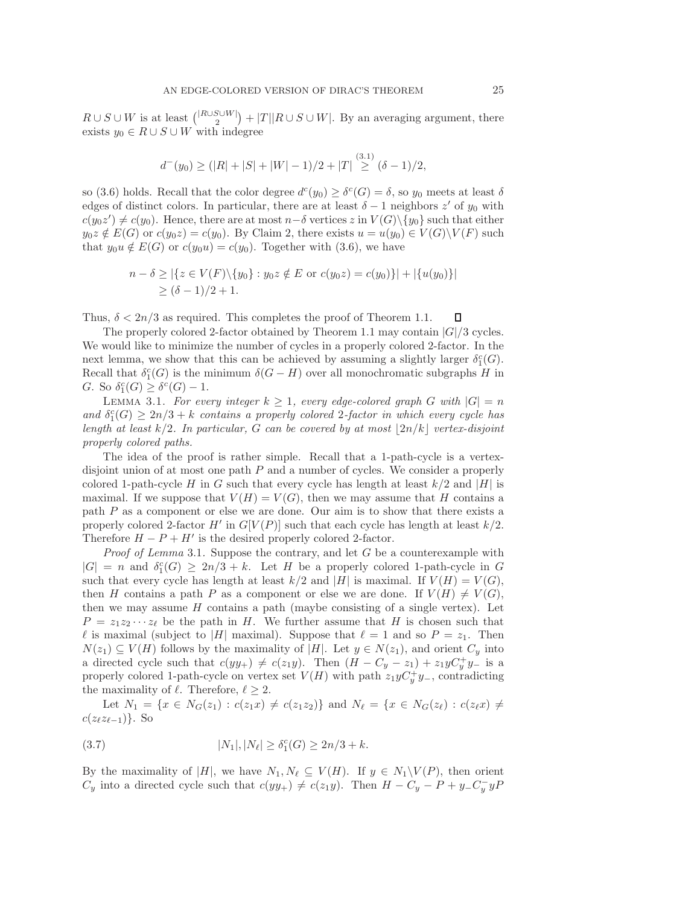$R \cup S \cup W$  is at least  $\binom{|R \cup S \cup W|}{2} + |T||R \cup S \cup W|$ . By an averaging argument, there exists  $y_0 \in R \cup S \cup W$  with indegree

$$
d^{-}(y_0) \ge (|R| + |S| + |W| - 1)/2 + |T| \stackrel{(3.1)}{\ge} (\delta - 1)/2,
$$

so (3.6) holds. Recall that the color degree  $d^c(y_0) \geq \delta^c(G) = \delta$ , so  $y_0$  meets at least  $\delta$ edges of distinct colors. In particular, there are at least  $\delta - 1$  neighbors z' of  $y_0$  with  $c(y_0z') \neq c(y_0)$ . Hence, there are at most  $n-\delta$  vertices z in  $V(G) \setminus \{y_0\}$  such that either  $y_0z \notin E(G)$  or  $c(y_0z) = c(y_0)$ . By Claim 2, there exists  $u = u(y_0) \in V(G) \backslash V(F)$  such that  $y_0u \notin E(G)$  or  $c(y_0u) = c(y_0)$ . Together with (3.6), we have

$$
n - \delta \ge |\{z \in V(F) \setminus \{y_0\} : y_0 z \notin E \text{ or } c(y_0 z) = c(y_0)\}| + |\{u(y_0)\}|
$$
  
 
$$
\ge (\delta - 1)/2 + 1.
$$

Thus,  $\delta < 2n/3$  as required. This completes the proof of Theorem 1.1. П

The properly colored 2-factor obtained by Theorem 1.1 may contain  $|G|/3$  cycles. We would like to minimize the number of cycles in a properly colored 2-factor. In the next lemma, we show that this can be achieved by assuming a slightly larger  $\delta_1^c(G)$ . Recall that  $\delta_1^c(G)$  is the minimum  $\delta(G-H)$  over all monochromatic subgraphs H in G. So  $\delta_1^c(G) \geq \delta^c(G) - 1$ .

LEMMA 3.1. For every integer  $k \geq 1$ , every edge-colored graph G with  $|G| = n$ and  $\delta_1^c(G) \geq 2n/3 + k$  *contains a properly colored* 2-factor in which every cycle has *length at least*  $k/2$ *. In particular,* G *can be covered by at most*  $|2n/k|$  *vertex-disjoint properly colored paths.*

The idea of the proof is rather simple. Recall that a 1-path-cycle is a vertexdisjoint union of at most one path  $P$  and a number of cycles. We consider a properly colored 1-path-cycle H in G such that every cycle has length at least  $k/2$  and |H| is maximal. If we suppose that  $V(H) = V(G)$ , then we may assume that H contains a path P as a component or else we are done. Our aim is to show that there exists a properly colored 2-factor  $H'$  in  $G[V(P)]$  such that each cycle has length at least  $k/2$ . Therefore  $H - P + H'$  is the desired properly colored 2-factor.

*Proof of Lemma* 3.1. Suppose the contrary, and let G be a counterexample with  $|G| = n$  and  $\delta_1^c(G) \geq 2n/3 + k$ . Let H be a properly colored 1-path-cycle in G such that every cycle has length at least  $k/2$  and |H| is maximal. If  $V(H) = V(G)$ , then H contains a path P as a component or else we are done. If  $V(H) \neq V(G)$ , then we may assume  $H$  contains a path (maybe consisting of a single vertex). Let  $P = z_1 z_2 \cdots z_\ell$  be the path in H. We further assume that H is chosen such that  $\ell$  is maximal (subject to |H| maximal). Suppose that  $\ell = 1$  and so  $P = z_1$ . Then  $N(z_1) \subseteq V(H)$  follows by the maximality of |H|. Let  $y \in N(z_1)$ , and orient  $C_y$  into a directed cycle such that  $c(yy_+) \neq c(z_1y)$ . Then  $(H - C_y - z_1) + z_1yC_y^+y^-$  is a properly colored 1-path-cycle on vertex set  $V(H)$  with path  $z_1yC_y^+y_-,$  contradicting the maximality of  $\ell$ . Therefore,  $\ell \geq 2$ .

Let  $N_1 = \{x \in N_G(z_1) : c(z_1x) \neq c(z_1z_2)\}\$  and  $N_\ell = \{x \in N_G(z_\ell) : c(z_\ell x) \neq c(z_1x_2)\}$  $c(z_{\ell}z_{\ell-1})\}$ . So

(3.7) 
$$
|N_1|, |N_\ell| \ge \delta_1^c(G) \ge 2n/3 + k.
$$

By the maximality of |H|, we have  $N_1, N_\ell \subseteq V(H)$ . If  $y \in N_1 \backslash V(P)$ , then orient  $C_y$  into a directed cycle such that  $c(yy_+) \neq c(z_1y)$ . Then  $H - C_y - P + y_-C_y^-yP$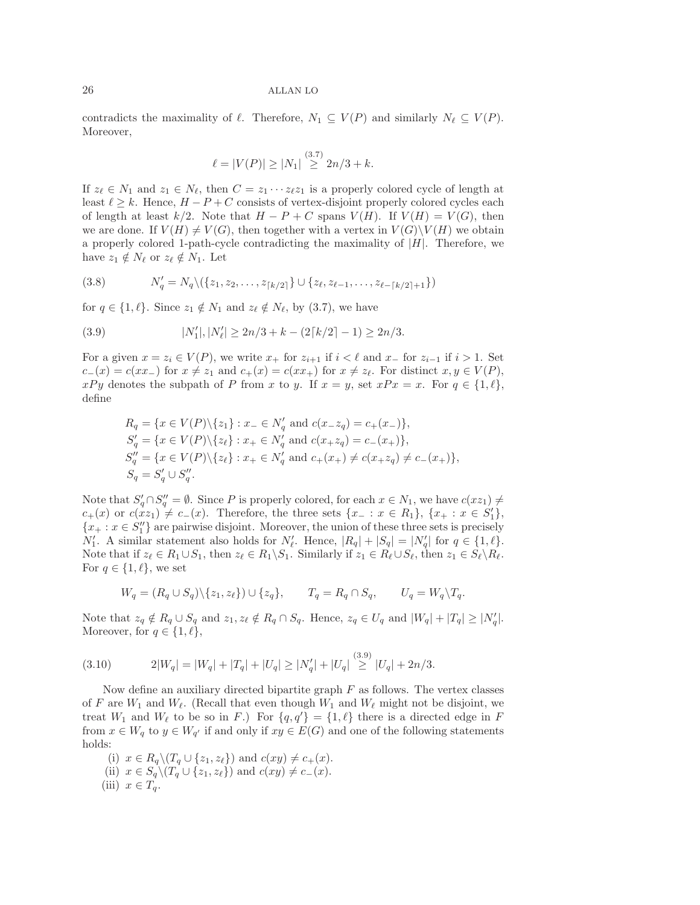contradicts the maximality of  $\ell$ . Therefore,  $N_1 \subseteq V(P)$  and similarly  $N_{\ell} \subseteq V(P)$ . Moreover,

$$
\ell = |V(P)| \ge |N_1| \stackrel{(3.7)}{\ge} 2n/3 + k.
$$

If  $z_{\ell} \in N_1$  and  $z_1 \in N_{\ell}$ , then  $C = z_1 \cdots z_{\ell} z_1$  is a properly colored cycle of length at least  $\ell \geq k$ . Hence,  $H - P + C$  consists of vertex-disjoint properly colored cycles each of length at least  $k/2$ . Note that  $H - P + C$  spans  $V(H)$ . If  $V(H) = V(G)$ , then we are done. If  $V(H) \neq V(G)$ , then together with a vertex in  $V(G)\backslash V(H)$  we obtain a properly colored 1-path-cycle contradicting the maximality of  $|H|$ . Therefore, we have  $z_1 \notin N_\ell$  or  $z_\ell \notin N_1$ . Let

(3.8) 
$$
N'_q = N_q \setminus (\{z_1, z_2, \dots, z_{\lceil k/2 \rceil}\} \cup \{z_\ell, z_{\ell-1}, \dots, z_{\ell-\lceil k/2 \rceil+1}\})
$$

for  $q \in \{1, \ell\}$ . Since  $z_1 \notin N_1$  and  $z_{\ell} \notin N_{\ell}$ , by (3.7), we have

(3.9) 
$$
|N'_1|, |N'_\ell| \ge 2n/3 + k - (2\lceil k/2 \rceil - 1) \ge 2n/3.
$$

For a given  $x = z_i \in V(P)$ , we write  $x_+$  for  $z_{i+1}$  if  $i < \ell$  and  $x_-$  for  $z_{i-1}$  if  $i > 1$ . Set  $c_{-}(x) = c(xx_{-})$  for  $x \neq z_1$  and  $c_{+}(x) = c(xx_{+})$  for  $x \neq z_{\ell}$ . For distinct  $x, y \in V(P)$ ,  $xPy$  denotes the subpath of P from x to y. If  $x = y$ , set  $xPx = x$ . For  $q \in \{1, \ell\}$ , define

$$
R_q = \{x \in V(P) \setminus \{z_1\} : x_- \in N'_q \text{ and } c(x_-z_q) = c_+(x_-)\},
$$
  
\n
$$
S'_q = \{x \in V(P) \setminus \{z_\ell\} : x_+ \in N'_q \text{ and } c(x_+z_q) = c_-(x_+)\},
$$
  
\n
$$
S''_q = \{x \in V(P) \setminus \{z_\ell\} : x_+ \in N'_q \text{ and } c_+(x_+) \neq c(x_+z_q) \neq c_-(x_+)\},
$$
  
\n
$$
S_q = S'_q \cup S''_q.
$$

Note that  $S'_a \cap S''_a = \emptyset$ . Since P is properly colored, for each  $x \in N_1$ , we have  $c(xz_1) \neq$  $c_{+}(x)$  or  $c(xz_{1}) \neq c_{-}(x)$ . Therefore, the three sets  $\{x_{-}: x \in R_{1}\}, \{x_{+}: x \in S'_{1}\},$  ${x_ + : x \in S_1''}$  are pairwise disjoint. Moreover, the union of these three sets is precisely  $N'_1$ . A similar statement also holds for  $N'_\ell$ . Hence,  $|R_q| + |S_q| = |N'_q|$  for  $q \in \{1, \ell\}$ . Note that if  $z_{\ell} \in R_1 \cup S_1$ , then  $z_{\ell} \in R_1 \backslash S_1$ . Similarly if  $z_1 \in R_{\ell} \cup S_{\ell}$ , then  $z_1 \in S_{\ell} \backslash R_{\ell}$ . For  $q \in \{1, \ell\}$ , we set

$$
W_q = (R_q \cup S_q) \setminus \{z_1, z_\ell\} \cup \{z_q\}, \qquad T_q = R_q \cap S_q, \qquad U_q = W_q \setminus T_q.
$$

Note that  $z_q \notin R_q \cup S_q$  and  $z_1, z_\ell \notin R_q \cap S_q$ . Hence,  $z_q \in U_q$  and  $|W_q| + |T_q| \geq |N'_q|$ . Moreover, for  $q \in \{1, \ell\},\$ 

(3.10) 
$$
2|W_q| = |W_q| + |T_q| + |U_q| \ge |N'_q| + |U_q| \stackrel{(3.9)}{\ge} |U_q| + 2n/3.
$$

Now define an auxiliary directed bipartite graph  $F$  as follows. The vertex classes of F are  $W_1$  and  $W_{\ell}$ . (Recall that even though  $W_1$  and  $W_{\ell}$  might not be disjoint, we treat  $W_1$  and  $W_\ell$  to be so in F.) For  $\{q, q'\} = \{1, \ell\}$  there is a directed edge in F from  $x \in W_q$  to  $y \in W_{q'}$  if and only if  $xy \in E(G)$  and one of the following statements holds:

(i)  $x \in R_q \setminus (T_q \cup \{z_1, z_\ell\})$  and  $c(xy) \neq c_+(x)$ . (ii)  $x \in S_q \setminus (T_q \cup \{z_1, z_\ell\})$  and  $c(xy) \neq c_-(x)$ . (iii)  $x \in T_q$ .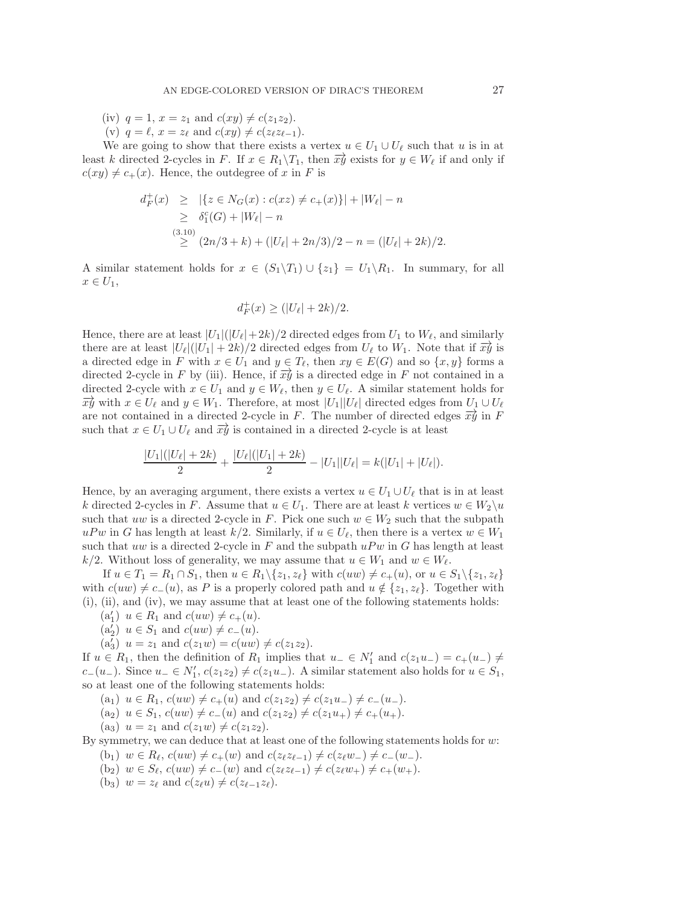(iv)  $q = 1, x = z_1 \text{ and } c(xy) \neq c(z_1z_2)$ .

(v)  $q = \ell$ ,  $x = z_{\ell}$  and  $c(xy) \neq c(z_{\ell}z_{\ell-1})$ .

We are going to show that there exists a vertex  $u \in U_1 \cup U_\ell$  such that u is in at least k directed 2-cycles in F. If  $x \in R_1 \backslash T_1$ , then  $\overrightarrow{xy}$  exists for  $y \in W_\ell$  if and only if  $c(xy) \neq c_{+}(x)$ . Hence, the outdegree of x in F is

$$
d_F^+(x) \geq |\{z \in N_G(x) : c(xz) \neq c_+(x)\}| + |W_{\ell}| - n
$$
  
\n
$$
\geq \delta_1^c(G) + |W_{\ell}| - n
$$
  
\n(3.10)  
\n
$$
\geq (2n/3 + k) + (|U_{\ell}| + 2n/3)/2 - n = (|U_{\ell}| + 2k)/2.
$$

A similar statement holds for  $x \in (S_1\backslash T_1) \cup \{z_1\} = U_1\backslash R_1$ . In summary, for all  $x \in U_1$ ,

$$
d_F^+(x) \ge (|U_{\ell}| + 2k)/2.
$$

Hence, there are at least  $|U_1|(|U_\ell|+2k)/2$  directed edges from  $U_1$  to  $W_\ell$ , and similarly there are at least  $|U_{\ell}|(|U_1| + 2k)/2$  directed edges from  $U_{\ell}$  to  $W_1$ . Note that if  $\overrightarrow{xy}$  is a directed edge in F with  $x \in U_1$  and  $y \in T_\ell$ , then  $xy \in E(G)$  and so  $\{x, y\}$  forms a directed 2-cycle in F by (iii). Hence, if  $\overrightarrow{xy}$  is a directed edge in F not contained in a directed 2-cycle with  $x \in U_1$  and  $y \in W_\ell$ , then  $y \in U_\ell$ directed 2-cycle with  $x \in U_1$  and  $y \in W_\ell$ , then  $y \in U_\ell$ . A similar statement holds for  $\overrightarrow{xy}$  with  $x \in U_\ell$  and  $y \in W_1$ . Therefore, at most  $|U_1||U_\ell|$  directed edges from  $U_1 \cup U_\ell$ are not contained in a directed 2-cycle in F. The number of directed edges  $\overrightarrow{xy}$  in F such that  $x \in U_1 \cup U_\ell$  and  $\overrightarrow{xy}$  is contained in a directed 2-cycle is at least

$$
\frac{|U_1|(|U_\ell|+2k)}{2}+\frac{|U_\ell|(|U_1|+2k)}{2}-|U_1||U_\ell|=k(|U_1|+|U_\ell|).
$$

Hence, by an averaging argument, there exists a vertex  $u \in U_1 \cup U_\ell$  that is in at least k directed 2-cycles in F. Assume that  $u \in U_1$ . There are at least k vertices  $w \in W_2\setminus u$ such that uw is a directed 2-cycle in F. Pick one such  $w \in W_2$  such that the subpath  $uPw$  in G has length at least  $k/2$ . Similarly, if  $u \in U_{\ell}$ , then there is a vertex  $w \in W_1$ such that uw is a directed 2-cycle in  $F$  and the subpath  $uPw$  in  $G$  has length at least k/2. Without loss of generality, we may assume that  $u \in W_1$  and  $w \in W_{\ell}$ .

If  $u \in T_1 = R_1 \cap S_1$ , then  $u \in R_1 \setminus \{z_1, z_\ell\}$  with  $c(uw) \neq c_+(u)$ , or  $u \in S_1 \setminus \{z_1, z_\ell\}$ with  $c(uw) \neq c_-(u)$ , as P is a properly colored path and  $u \notin \{z_1, z_\ell\}$ . Together with (i), (ii), and (iv), we may assume that at least one of the following statements holds:

- $(a'_1)$   $u \in R_1$  and  $c(uw) \neq c_+(u)$ .
- $(a_2')$   $u \in S_1$  and  $c(uw) \neq c_-(u)$ .
- $(a_3')$   $u = z_1$  and  $c(z_1w) = c(uw) \neq c(z_1z_2)$ .

If  $u \in R_1$ , then the definition of  $R_1$  implies that  $u_-\in N'_1$  and  $c(z_1u_-)=c_+(u_-)\neq$  $c-(u_-)$ . Since  $u_-\in N'_1$ ,  $c(z_1z_2)\neq c(z_1u_-)$ . A similar statement also holds for  $u\in S_1$ , so at least one of the following statements holds:

- (a<sub>1</sub>)  $u \in R_1$ ,  $c(uw) \neq c_+(u)$  and  $c(z_1z_2) \neq c(z_1u_-) \neq c_-(u_-)$ .
- (a<sub>2</sub>)  $u \in S_1$ ,  $c(uw) \neq c_-(u)$  and  $c(z_1z_2) \neq c(z_1u_+) \neq c_+(u_+).$
- (a<sub>3</sub>)  $u = z_1$  and  $c(z_1w) \neq c(z_1z_2)$ .

By symmetry, we can deduce that at least one of the following statements holds for  $w$ :

- (b<sub>1</sub>)  $w \in R_{\ell}$ ,  $c(uw) \neq c_{+}(w)$  and  $c(z_{\ell}z_{\ell-1}) \neq c(z_{\ell}w_{-}) \neq c_{-}(w_{-})$ .
- $(b_2) \ w \in S_{\ell}, \ c(uw) \neq c_{-}(w) \text{ and } c(z_{\ell}z_{\ell-1}) \neq c(z_{\ell}w_{+}) \neq c_{+}(w_{+}).$
- (b<sub>3</sub>)  $w = z_{\ell}$  and  $c(z_{\ell}u) \neq c(z_{\ell-1}z_{\ell}).$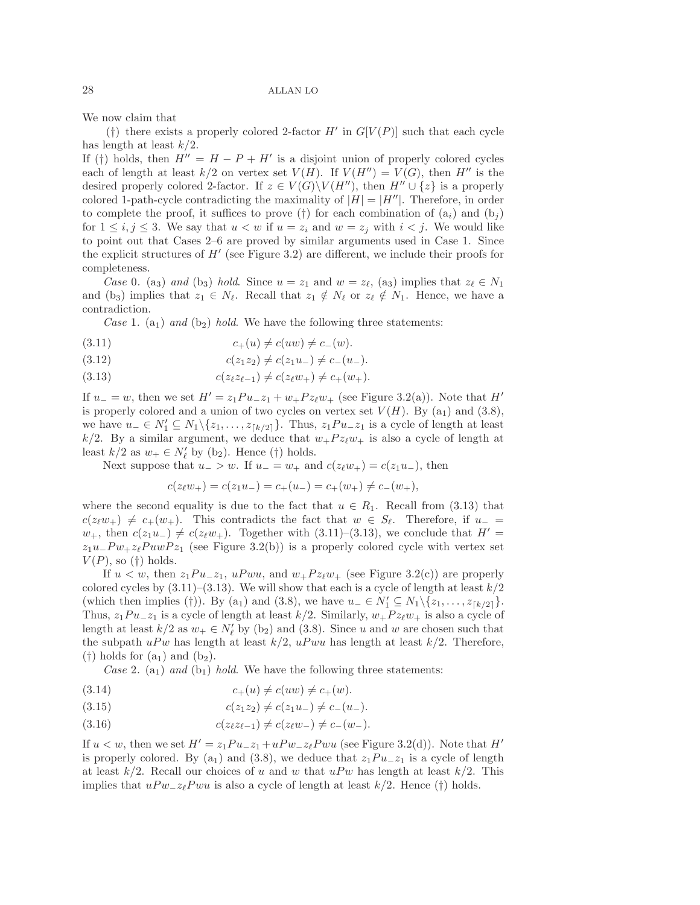We now claim that

(†) there exists a properly colored 2-factor  $H'$  in  $G[V(P)]$  such that each cycle has length at least  $k/2$ .

If (†) holds, then  $H'' = H - P + H'$  is a disjoint union of properly colored cycles each of length at least  $k/2$  on vertex set  $V(H)$ . If  $V(H'') = V(G)$ , then H'' is the desired properly colored 2-factor. If  $z \in V(G) \backslash V(H'')$ , then  $H'' \cup \{z\}$  is a properly colored 1-path-cycle contradicting the maximality of  $|H| = |H''|$ . Therefore, in order to complete the proof, it suffices to prove (†) for each combination of  $(a_i)$  and  $(b_i)$ for  $1 \leq i, j \leq 3$ . We say that  $u < w$  if  $u = z_i$  and  $w = z_j$  with  $i < j$ . We would like to point out that Cases 2–6 are proved by similar arguments used in Case 1. Since the explicit structures of  $H'$  (see Figure 3.2) are different, we include their proofs for completeness.

*Case* 0. (a<sub>3</sub>) *and* (b<sub>3</sub>) *hold*. Since  $u = z_1$  and  $w = z_\ell$ , (a<sub>3</sub>) implies that  $z_\ell \in N_1$ and (b<sub>3</sub>) implies that  $z_1 \in N_\ell$ . Recall that  $z_1 \notin N_\ell$  or  $z_\ell \notin N_1$ . Hence, we have a contradiction.

*Case* 1. (a<sub>1</sub>) *and* (b<sub>2</sub>) *hold*. We have the following three statements:

(3.11) 
$$
c_{+}(u) \neq c(uw) \neq c_{-}(w)
$$
.

- (3.12)  $c(z_1z_2) \neq c(z_1u_-) \neq c_-(u_-).$
- $(3.13)$  $z_{\ell-1}) \neq c(z_{\ell}w_+) \neq c_+(w_+).$

If  $u = w$ , then we set  $H' = z_1Pu_{-}z_1 + w_{+}Pz_{\ell}w_{+}$  (see Figure 3.2(a)). Note that  $H'$ is properly colored and a union of two cycles on vertex set  $V(H)$ . By  $(a_1)$  and  $(3.8)$ , we have  $u_-\in N'_1\subseteq N_1\setminus\{z_1,\ldots,z_{\lceil k/2\rceil}\}.$  Thus,  $z_1Pu_-z_1$  is a cycle of length at least  $k/2$ . By a similar argument, we deduce that  $w_+P_{z\ell}w_+$  is also a cycle of length at least  $k/2$  as  $w_+ \in N'_\ell$  by (b<sub>2</sub>). Hence (†) holds.

Next suppose that  $u_$  > w. If  $u_$  =  $w_+$  and  $c(z_\ell w_+) = c(z_1 u_-)$ , then

$$
c(z_{\ell}w_{+}) = c(z_{1}u_{-}) = c_{+}(u_{-}) = c_{+}(w_{+}) \neq c_{-}(w_{+}),
$$

where the second equality is due to the fact that  $u \in R_1$ . Recall from (3.13) that  $c(z_{\ell}w_+) \neq c_+(w_+).$  This contradicts the fact that  $w \in S_{\ell}$ . Therefore, if  $u_-$  =  $w_+$ , then  $c(z_1u_-) \neq c(z_\ell w_+)$ . Together with (3.11)–(3.13), we conclude that  $H' =$  $z_1u$ <sub>−</sub> $Pw$ <sub>+</sub> $z_\ell PuwPz_1$  (see Figure 3.2(b)) is a properly colored cycle with vertex set  $V(P)$ , so (†) holds.

If  $u < w$ , then  $z_1Pu_-z_1$ ,  $uPwu$ , and  $w_+Pz_\ell w_+$  (see Figure 3.2(c)) are properly colored cycles by  $(3.11)$ – $(3.13)$ . We will show that each is a cycle of length at least  $k/2$ (which then implies (†)). By (a<sub>1</sub>) and (3.8), we have  $u_{-} \in N'_{1} \subseteq N_{1} \setminus \{z_{1},...,z_{\lceil k/2 \rceil}\}.$ Thus,  $z_1Pu_-z_1$  is a cycle of length at least  $k/2$ . Similarly,  $w_+Pz_\ell w_+$  is also a cycle of length at least  $k/2$  as  $w_+ \in N'_\ell$  by (b<sub>2</sub>) and (3.8). Since u and w are chosen such that the subpath  $uPw$  has length at least  $k/2$ ,  $uPwu$  has length at least  $k/2$ . Therefore,  $(\dagger)$  holds for  $(a_1)$  and  $(b_2)$ .

*Case* 2. (a<sub>1</sub>) *and* (b<sub>1</sub>) *hold*. We have the following three statements:

- (3.14)  $c_{+}(u) \neq c(uw) \neq c_{+}(w).$
- (3.15)  $c(z_1z_2) \neq c(z_1u_-) \neq c_-(u_-).$
- $(3.16)$  $z_{\ell-1}) \neq c(z_{\ell}w_{-}) \neq c_{-}(w_{-}).$

If  $u < w$ , then we set  $H' = z_1Pu_-z_1 + uPw_-z_{\ell}Pwu$  (see Figure 3.2(d)). Note that  $H'$ is properly colored. By (a<sub>1</sub>) and (3.8), we deduce that  $z_1Pu_-z_1$  is a cycle of length at least  $k/2$ . Recall our choices of u and w that uPw has length at least  $k/2$ . This implies that  $uPw_{-}z_{\ell}Pwu$  is also a cycle of length at least  $k/2$ . Hence (†) holds.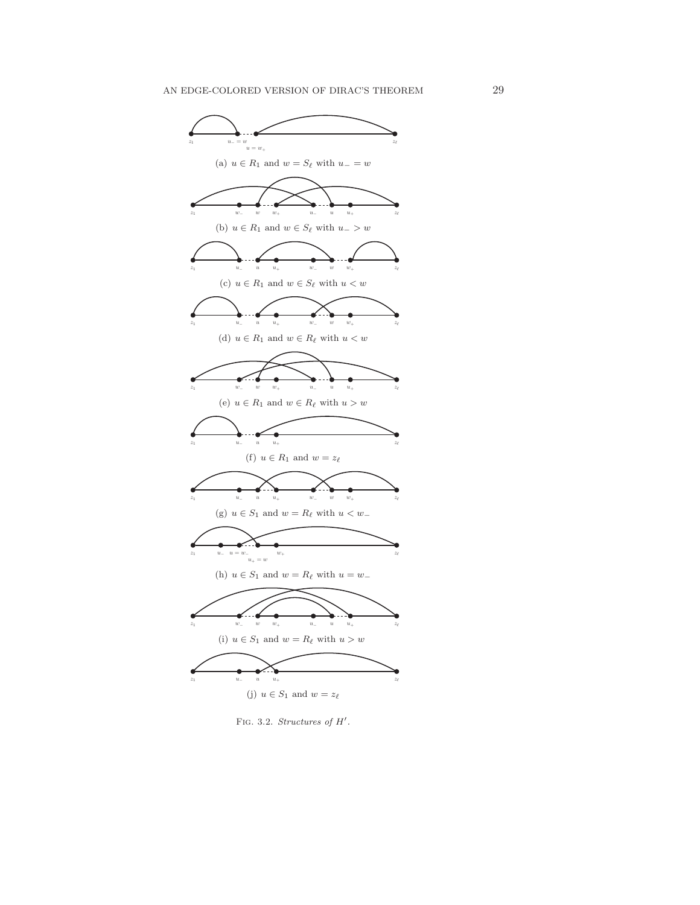

FIG. 3.2. Structures of  $H'$ .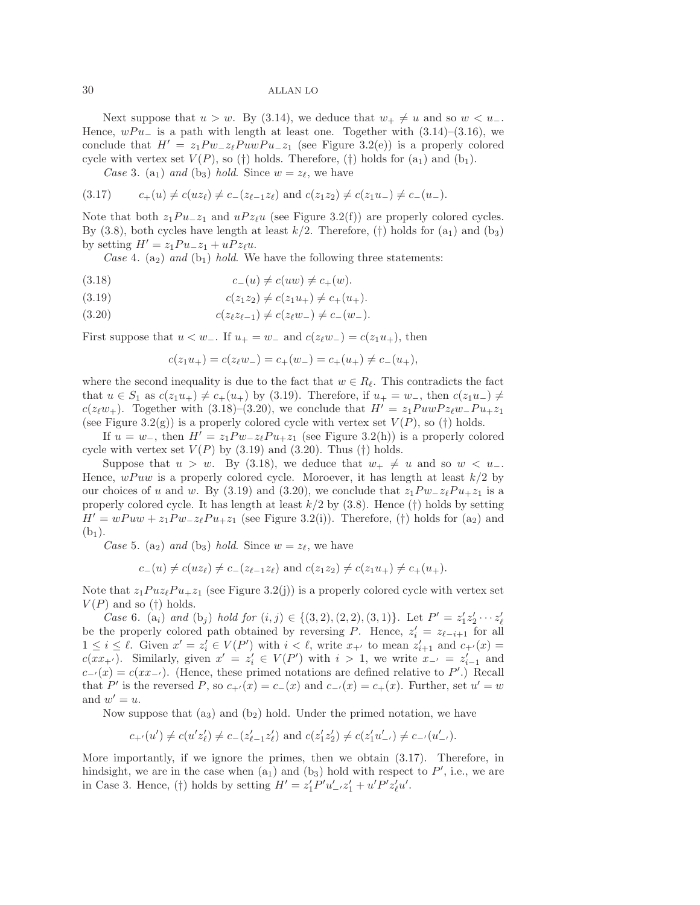Next suppose that  $u > w$ . By (3.14), we deduce that  $w_+ \neq u$  and so  $w < u_-$ . Hence,  $wPu_$  is a path with length at least one. Together with  $(3.14)-(3.16)$ , we conclude that  $H' = z_1 P w_- z_{\ell} P u w P u_- z_1$  (see Figure 3.2(e)) is a properly colored cycle with vertex set  $V(P)$ , so (†) holds. Therefore, (†) holds for  $(a_1)$  and  $(b_1)$ .

*Case* 3. (a<sub>1</sub>) *and* (b<sub>3</sub>) *hold*. Since  $w = z_{\ell}$ , we have

$$
(3.17) \t c_{+}(u) \neq c(uz_{\ell}) \neq c_{-}(z_{\ell-1}z_{\ell}) \text{ and } c(z_{1}z_{2}) \neq c(z_{1}u_{-}) \neq c_{-}(u_{-}).
$$

Note that both  $z_1Pu_-z_1$  and  $uPz_\ell u$  (see Figure 3.2(f)) are properly colored cycles. By (3.8), both cycles have length at least  $k/2$ . Therefore, (†) holds for (a<sub>1</sub>) and (b<sub>3</sub>) by setting  $H' = z_1 P u_- z_1 + u P z_{\ell} u$ .

*Case* 4. (a<sub>2</sub>) *and* (b<sub>1</sub>) *hold*. We have the following three statements:

- (3.18)  $c_-(u) \neq c(uw) \neq c_+(w).$
- (3.19)  $c(z_1z_2) \neq c(z_1u_+) \neq c_+(u_+).$
- $(3.20)$  $z_{\ell-1}) \neq c(z_{\ell}w_{-}) \neq c_{-}(w_{-}).$

First suppose that  $u < w_-\$ . If  $u_+ = w_-\$  and  $c(z_\ell w_-) = c(z_1 u_+)$ , then

$$
c(z_1u_+) = c(z_{\ell}w_-) = c_+(w_-) = c_+(u_+) \neq c_-(u_+),
$$

where the second inequality is due to the fact that  $w \in R_{\ell}$ . This contradicts the fact that  $u \in S_1$  as  $c(z_1u_+) \neq c_+(u_+)$  by (3.19). Therefore, if  $u_+ = w_-$ , then  $c(z_1u_-) \neq$  $c(z_{\ell}w_+)$ . Together with (3.18)–(3.20), we conclude that  $H' = z_1PuwPz_{\ell}w_Pu_+z_1$ (see Figure 3.2(g)) is a properly colored cycle with vertex set  $V(P)$ , so (†) holds.

If  $u = w_-,$  then  $H' = z_1 P w_- z_{\ell} P u_+ z_1$  (see Figure 3.2(h)) is a properly colored cycle with vertex set  $V(P)$  by (3.19) and (3.20). Thus (†) holds.

Suppose that  $u > w$ . By (3.18), we deduce that  $w_+ \neq u$  and so  $w < u_-$ . Hence,  $wPuw$  is a properly colored cycle. Moroever, it has length at least  $k/2$  by our choices of u and w. By (3.19) and (3.20), we conclude that  $z_1 P w_- z_{\ell} P u_+ z_1$  is a properly colored cycle. It has length at least  $k/2$  by (3.8). Hence (†) holds by setting  $H' = wPuw + z_1Pw_z_z_zPu_zz_1$  (see Figure 3.2(i)). Therefore, (†) holds for (a<sub>2</sub>) and  $(b_1)$ .

*Case* 5. (a<sub>2</sub>) *and* (b<sub>3</sub>) *hold*. Since  $w = z_{\ell}$ , we have

$$
c_{-}(u) \neq c(uz_{\ell}) \neq c_{-}(z_{\ell-1}z_{\ell})
$$
 and  $c(z_1z_2) \neq c(z_1u_{+}) \neq c_{+}(u_{+}).$ 

Note that  $z_1Puz_{\ell}Pu_{+}z_1$  (see Figure 3.2(j)) is a properly colored cycle with vertex set  $V(P)$  and so (†) holds.

*Case* 6. (a<sub>i</sub>) *and* (b<sub>j</sub>) *hold for*  $(i, j) \in \{(3, 2), (2, 2), (3, 1)\}$ . Let  $P' = z_1'z_2' \cdots z_\ell'$ be the properly colored path obtained by reversing P. Hence,  $z_i' = z_{\ell-i+1}$  for all  $1 \leq i \leq \ell$ . Given  $x' = z'_i \in V(P')$  with  $i < \ell$ , write  $x_{+'}$  to mean  $z'_{i+1}$  and  $c_{+'}(x) =$ c(xx<sub>+'</sub>). Similarly, given  $x' = z'_i \in V(P')$  with  $i > 1$ , we write  $x_{-'} = z'_{i-1}$  and  $c_{-'}(x) = c(x x_{-'})$ . (Hence, these primed notations are defined relative to P'.) Recall that P' is the reversed P, so  $c_{+'}(x) = c_{-}(x)$  and  $c_{-'}(x) = c_{+}(x)$ . Further, set  $u' = w$ and  $w' = u$ .

Now suppose that  $(a_3)$  and  $(b_2)$  hold. Under the primed notation, we have

$$
c_{+'}(u') \neq c(u'z'_\ell) \neq c_{-}(z'_{\ell-1}z'_\ell) \text{ and } c(z'_1z'_2) \neq c(z'_1u'_{-'}) \neq c_{-'}(u'_{-'}).
$$

More importantly, if we ignore the primes, then we obtain (3.17). Therefore, in hindsight, we are in the case when  $(a_1)$  and  $(b_3)$  hold with respect to P', i.e., we are in Case 3. Hence, (†) holds by setting  $H' = z_1' P' u_-' z_1' + u' P' z_{\ell}' u'$ .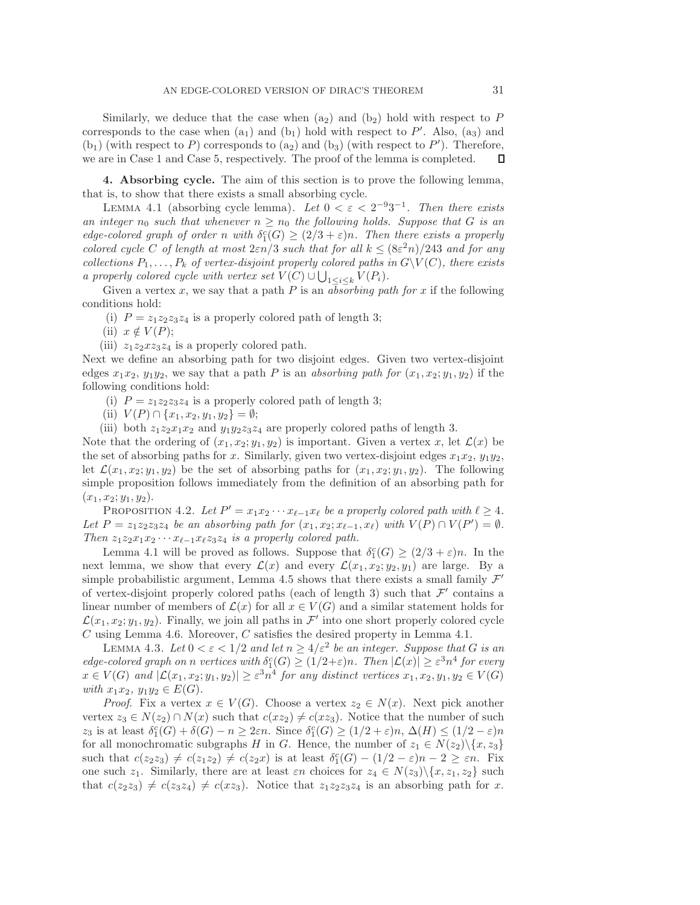Similarly, we deduce that the case when  $(a_2)$  and  $(b_2)$  hold with respect to P corresponds to the case when  $(a_1)$  and  $(b_1)$  hold with respect to P'. Also,  $(a_3)$  and  $(b_1)$  (with respect to P) corresponds to  $(a_2)$  and  $(b_3)$  (with respect to P'). Therefore, we are in Case 1 and Case 5, respectively. The proof of the lemma is completed. Д

**4. Absorbing cycle.** The aim of this section is to prove the following lemma, that is, to show that there exists a small absorbing cycle.

LEMMA 4.1 (absorbing cycle lemma). Let  $0 < \varepsilon < 2^{-9}3^{-1}$ . Then there exists *an integer*  $n_0$  *such that whenever*  $n \geq n_0$  *the following holds. Suppose that* G *is an edge-colored graph of order* n with  $\delta_1^c(G) \geq (2/3 + \varepsilon)n$ . Then there exists a properly *colored cycle* C *of length at most*  $2\varepsilon n/3$  *such that for all*  $k \leq (8\varepsilon^2 n)/243$  *and for any collections*  $P_1, \ldots, P_k$  *of vertex-disjoint properly colored paths in*  $G\setminus V(C)$ *, there exists a properly colored cycle with vertex set*  $V(C) \cup \bigcup_{1 \leq i \leq k} V(P_i)$ *.* 

Given a vertex x, we say that a path  $P$  is an *absorbing path for* x if the following conditions hold:

(i)  $P = z_1 z_2 z_3 z_4$  is a properly colored path of length 3;

(ii)  $x \notin V(P);$ 

(iii)  $z_1z_2xz_3z_4$  is a properly colored path.

Next we define an absorbing path for two disjoint edges. Given two vertex-disjoint edges  $x_1x_2, y_1y_2$ , we say that a path P is an *absorbing path for*  $(x_1, x_2; y_1, y_2)$  if the following conditions hold:

- (i)  $P = z_1 z_2 z_3 z_4$  is a properly colored path of length 3;
- (ii)  $V(P) \cap \{x_1, x_2, y_1, y_2\} = \emptyset;$

(iii) both  $z_1z_2x_1x_2$  and  $y_1y_2z_3z_4$  are properly colored paths of length 3.

Note that the ordering of  $(x_1, x_2; y_1, y_2)$  is important. Given a vertex x, let  $\mathcal{L}(x)$  be the set of absorbing paths for x. Similarly, given two vertex-disjoint edges  $x_1x_2$ ,  $y_1y_2$ , let  $\mathcal{L}(x_1, x_2; y_1, y_2)$  be the set of absorbing paths for  $(x_1, x_2; y_1, y_2)$ . The following simple proposition follows immediately from the definition of an absorbing path for  $(x_1, x_2; y_1, y_2).$ 

PROPOSITION 4.2. Let  $P' = x_1 x_2 \cdots x_{\ell-1} x_{\ell}$  be a properly colored path with  $\ell \geq 4$ . *Let*  $P = z_1 z_2 z_3 z_4$  *be an absorbing path for*  $(x_1, x_2; x_{\ell-1}, x_{\ell})$  *with*  $V(P) \cap V(P') = \emptyset$ *. Then*  $z_1z_2x_1x_2 \cdots x_{\ell-1}x_{\ell}z_3z_4$  *is a properly colored path.* 

Lemma 4.1 will be proved as follows. Suppose that  $\delta_1^c(G) \geq (2/3 + \varepsilon)n$ . In the next lemma, we show that every  $\mathcal{L}(x)$  and every  $\mathcal{L}(x_1, x_2; y_2, y_1)$  are large. By a simple probabilistic argument, Lemma 4.5 shows that there exists a small family  $\mathcal{F}'$ of vertex-disjoint properly colored paths (each of length 3) such that  $\mathcal{F}'$  contains a linear number of members of  $\mathcal{L}(x)$  for all  $x \in V(G)$  and a similar statement holds for  $\mathcal{L}(x_1, x_2; y_1, y_2)$ . Finally, we join all paths in  $\mathcal{F}'$  into one short properly colored cycle  $C$  using Lemma 4.6. Moreover,  $C$  satisfies the desired property in Lemma 4.1.

LEMMA 4.3. Let  $0 < \varepsilon < 1/2$  and let  $n \geq 4/\varepsilon^2$  be an integer. Suppose that G is an  $edge-colored\ graph\ on\ n\ vertices\ with\ \delta_1^c(G) \geq (1/2+\varepsilon)n$ *. Then*  $|\mathcal{L}(x)| \geq \varepsilon^3 n^4$  for every  $x \in V(G)$  and  $|\mathcal{L}(x_1, x_2; y_1, y_2)| \geq \varepsilon^3 n^4$  for any distinct vertices  $x_1, x_2, y_1, y_2 \in V(G)$ *with*  $x_1x_2, y_1y_2 \in E(G)$ *.* 

*Proof.* Fix a vertex  $x \in V(G)$ . Choose a vertex  $z_2 \in N(x)$ . Next pick another vertex  $z_3 \in N(z_2) \cap N(x)$  such that  $c(xz_2) \neq c(xz_3)$ . Notice that the number of such z<sub>3</sub> is at least  $\delta_1^c(G) + \delta(G) - n \geq 2\varepsilon n$ . Since  $\delta_1^c(G) \geq (1/2 + \varepsilon)n$ ,  $\Delta(H) \leq (1/2 - \varepsilon)n$ for all monochromatic subgraphs H in G. Hence, the number of  $z_1 \in N(z_2) \setminus \{x, z_3\}$ such that  $c(z_2z_3) \neq c(z_1z_2) \neq c(z_2x)$  is at least  $\delta_1^c(G) - (1/2 - \varepsilon)n - 2 \geq \varepsilon n$ . Fix one such  $z_1$ . Similarly, there are at least  $\varepsilon n$  choices for  $z_4 \in N(z_3) \setminus \{x, z_1, z_2\}$  such that  $c(z_2z_3) \neq c(z_3z_4) \neq c(xz_3)$ . Notice that  $z_1z_2z_3z_4$  is an absorbing path for x.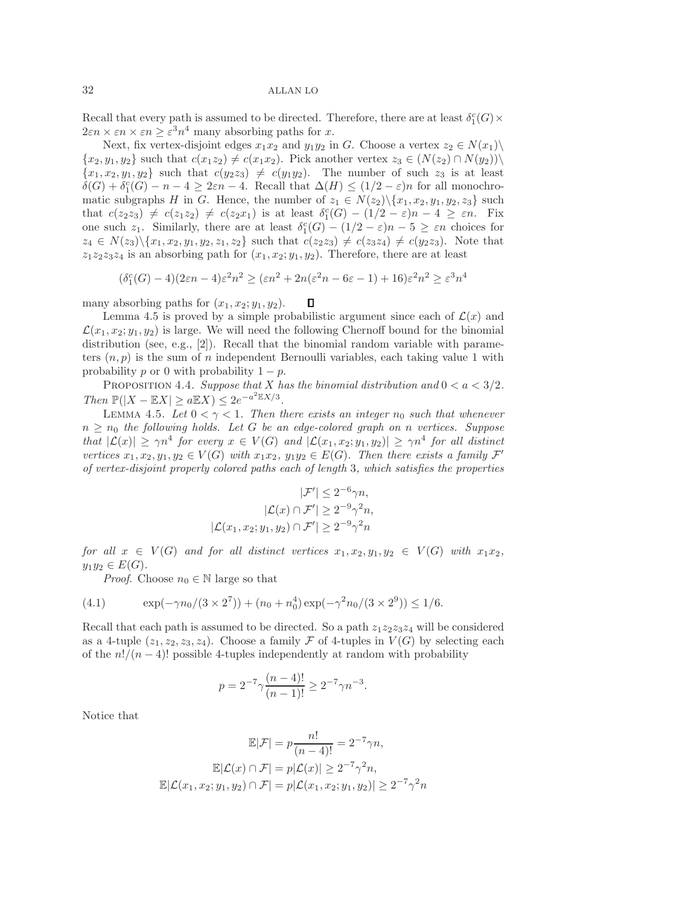Recall that every path is assumed to be directed. Therefore, there are at least  $\delta_1^c(G)$  ×  $2\varepsilon n \times \varepsilon n \times \varepsilon n \geq \varepsilon^3 n^4$  many absorbing paths for x.

Next, fix vertex-disjoint edges  $x_1x_2$  and  $y_1y_2$  in G. Choose a vertex  $z_2 \in N(x_1) \setminus$  $\{x_2, y_1, y_2\}$  such that  $c(x_1z_2) \neq c(x_1x_2)$ . Pick another vertex  $z_3 \in (N(z_2) \cap N(y_2))\setminus$  ${x_1, x_2, y_1, y_2}$  such that  $c(y_2z_3) \neq c(y_1y_2)$ . The number of such  $z_3$  is at least  $\delta(G) + \delta_1^c(G) - n - 4 \geq 2\varepsilon n - 4$ . Recall that  $\Delta(H) \leq (1/2 - \varepsilon)n$  for all monochromatic subgraphs H in G. Hence, the number of  $z_1 \in N(z_2) \setminus \{x_1, x_2, y_1, y_2, z_3\}$  such that  $c(z_2z_3) \neq c(z_1z_2) \neq c(z_2x_1)$  is at least  $\delta_1^c(G) - (1/2 - \varepsilon)n - 4 \geq \varepsilon n$ . Fix one such  $z_1$ . Similarly, there are at least  $\delta_1^c(G) - (1/2 - \varepsilon)n - 5 \geq \varepsilon n$  choices for  $z_4 \in N(z_3) \setminus \{x_1, x_2, y_1, y_2, z_1, z_2\}$  such that  $c(z_2 z_3) \neq c(z_3 z_4) \neq c(y_2 z_3)$ . Note that  $z_1z_2z_3z_4$  is an absorbing path for  $(x_1, x_2; y_1, y_2)$ . Therefore, there are at least

$$
(\delta_1^c(G)-4)(2\varepsilon n-4)\varepsilon^2 n^2\geq (\varepsilon n^2+2n(\varepsilon^2 n-6\varepsilon-1)+16)\varepsilon^2 n^2\geq \varepsilon^3 n^4
$$

many absorbing paths for  $(x_1, x_2; y_1, y_2)$ . Д

Lemma 4.5 is proved by a simple probabilistic argument since each of  $\mathcal{L}(x)$  and  $\mathcal{L}(x_1, x_2; y_1, y_2)$  is large. We will need the following Chernoff bound for the binomial distribution (see, e.g., [2]). Recall that the binomial random variable with parameters  $(n, p)$  is the sum of n independent Bernoulli variables, each taking value 1 with probability p or 0 with probability  $1 - p$ .

PROPOSITION 4.4. *Suppose that* X *has the binomial distribution and*  $0 < a < 3/2$ *. Then*  $\mathbb{P}(|X - \mathbb{E}X| \ge a \mathbb{E}X) \le 2e^{-a^2 \mathbb{E}X/3}$ .

LEMMA 4.5. Let  $0 < \gamma < 1$ . Then there exists an integer  $n_0$  such that whenever  $n \geq n_0$  the following holds. Let G be an edge-colored graph on n vertices. Suppose *that*  $|\mathcal{L}(x)| \ge \gamma n^4$  *for every*  $x \in V(G)$  *and*  $|\mathcal{L}(x_1, x_2; y_1, y_2)| \ge \gamma n^4$  *for all distinct vertices*  $x_1, x_2, y_1, y_2 \in V(G)$  *with*  $x_1x_2, y_1y_2 \in E(G)$ *. Then there exists a family*  $\mathcal{F}'$ *of vertex-disjoint properly colored paths each of length* 3*, which satisfies the properties*

$$
|\mathcal{F}'| \le 2^{-6}\gamma n,
$$
  
\n
$$
|\mathcal{L}(x) \cap \mathcal{F}'| \ge 2^{-9}\gamma^2 n,
$$
  
\n
$$
|\mathcal{L}(x_1, x_2; y_1, y_2) \cap \mathcal{F}'| \ge 2^{-9}\gamma^2 n
$$

*for all*  $x \in V(G)$  *and for all distinct vertices*  $x_1, x_2, y_1, y_2 \in V(G)$  *with*  $x_1x_2$ *,*  $y_1y_2 \in E(G)$ .

*Proof.* Choose  $n_0 \in \mathbb{N}$  large so that

(4.1) 
$$
\exp(-\gamma n_0/(3 \times 2^7)) + (n_0 + n_0^4) \exp(-\gamma^2 n_0/(3 \times 2^9)) \le 1/6.
$$

Recall that each path is assumed to be directed. So a path  $z_1z_2z_3z_4$  will be considered as a 4-tuple  $(z_1, z_2, z_3, z_4)$ . Choose a family  $\mathcal F$  of 4-tuples in  $V(G)$  by selecting each of the  $n!/(n-4)!$  possible 4-tuples independently at random with probability

$$
p = 2^{-7} \gamma \frac{(n-4)!}{(n-1)!} \ge 2^{-7} \gamma n^{-3}.
$$

Notice that

$$
\mathbb{E}|\mathcal{F}| = p\frac{n!}{(n-4)!} = 2^{-7}\gamma n,
$$

$$
\mathbb{E}|\mathcal{L}(x) \cap \mathcal{F}| = p|\mathcal{L}(x)| \ge 2^{-7}\gamma^2 n,
$$

$$
\mathbb{E}|\mathcal{L}(x_1, x_2; y_1, y_2) \cap \mathcal{F}| = p|\mathcal{L}(x_1, x_2; y_1, y_2)| \ge 2^{-7}\gamma^2 n
$$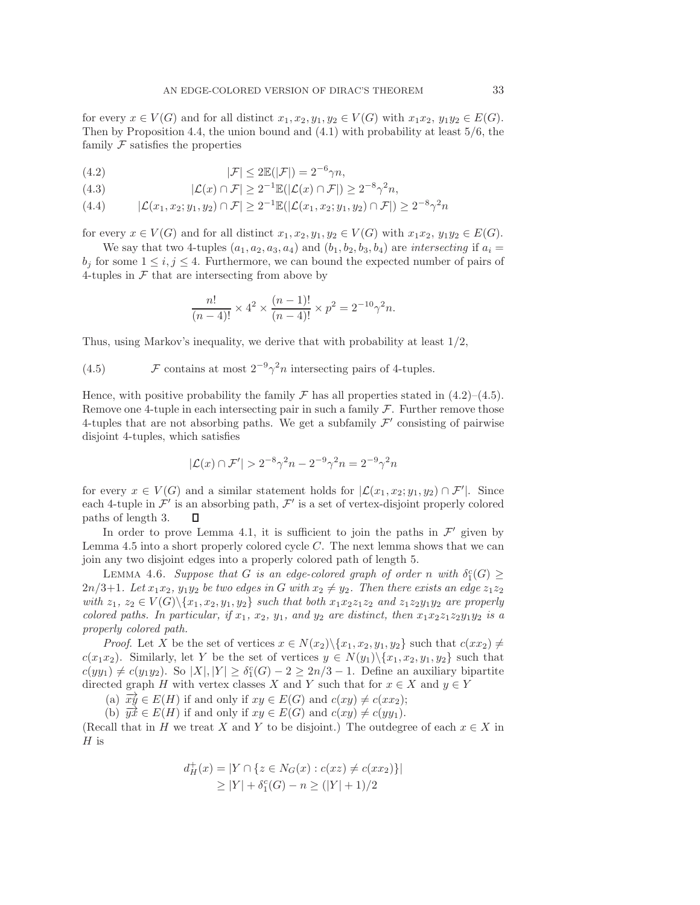for every  $x \in V(G)$  and for all distinct  $x_1, x_2, y_1, y_2 \in V(G)$  with  $x_1x_2, y_1y_2 \in E(G)$ . Then by Proposition 4.4, the union bound and (4.1) with probability at least 5/6, the family  $\mathcal F$  satisfies the properties

(4.2) 
$$
|\mathcal{F}| \le 2\mathbb{E}(|\mathcal{F}|) = 2^{-6}\gamma n,
$$

(4.3) 
$$
|\mathcal{L}(x) \cap \mathcal{F}| \ge 2^{-1} \mathbb{E}(|\mathcal{L}(x) \cap \mathcal{F}|) \ge 2^{-8} \gamma^2 n,
$$

$$
(4.4) \qquad |\mathcal{L}(x_1, x_2; y_1, y_2) \cap \mathcal{F}| \ge 2^{-1} \mathbb{E}(|\mathcal{L}(x_1, x_2; y_1, y_2) \cap \mathcal{F}|) \ge 2^{-8} \gamma^2 n
$$

for every  $x \in V(G)$  and for all distinct  $x_1, x_2, y_1, y_2 \in V(G)$  with  $x_1x_2, y_1y_2 \in E(G)$ .

We say that two 4-tuples  $(a_1, a_2, a_3, a_4)$  and  $(b_1, b_2, b_3, b_4)$  are *intersecting* if  $a_i =$  $b_i$  for some  $1 \leq i, j \leq 4$ . Furthermore, we can bound the expected number of pairs of 4-tuples in  $\mathcal F$  that are intersecting from above by

$$
\frac{n!}{(n-4)!} \times 4^2 \times \frac{(n-1)!}{(n-4)!} \times p^2 = 2^{-10} \gamma^2 n.
$$

Thus, using Markov's inequality, we derive that with probability at least 1/2,

(4.5)  $\mathcal F$  contains at most  $2^{-9}\gamma^2 n$  intersecting pairs of 4-tuples.

Hence, with positive probability the family  $\mathcal F$  has all properties stated in (4.2)–(4.5). Remove one 4-tuple in each intersecting pair in such a family  $\mathcal F$ . Further remove those 4-tuples that are not absorbing paths. We get a subfamily  $\mathcal{F}'$  consisting of pairwise disjoint 4-tuples, which satisfies

$$
|\mathcal{L}(x) \cap \mathcal{F}'| > 2^{-8}\gamma^2 n - 2^{-9}\gamma^2 n = 2^{-9}\gamma^2 n
$$

for every  $x \in V(G)$  and a similar statement holds for  $\mathcal{L}(x_1, x_2; y_1, y_2) \cap \mathcal{F}'$ . Since each 4-tuple in  $\mathcal{F}'$  is an absorbing path,  $\mathcal{F}'$  is a set of vertex-disjoint properly colored paths of length 3. D.

In order to prove Lemma 4.1, it is sufficient to join the paths in  $\mathcal{F}'$  given by Lemma 4.5 into a short properly colored cycle  $C$ . The next lemma shows that we can join any two disjoint edges into a properly colored path of length 5.

LEMMA 4.6. *Suppose that* G *is an edge-colored graph of order* n with  $\delta_1^c(G) \geq$  $2n/3+1$ *. Let*  $x_1x_2$ *,*  $y_1y_2$  *be two edges in* G *with*  $x_2 \neq y_2$ *. Then there exists an edge*  $z_1z_2$ *with*  $z_1, z_2 \in V(G) \setminus \{x_1, x_2, y_1, y_2\}$  *such that both*  $x_1x_2z_1z_2$  *and*  $z_1z_2y_1y_2$  *are properly colored paths. In particular, if*  $x_1$ ,  $x_2$ ,  $y_1$ , and  $y_2$  are distinct, then  $x_1x_2z_1z_2y_1y_2$  is a *properly colored path.*

*Proof.* Let X be the set of vertices  $x \in N(x_2) \setminus \{x_1, x_2, y_1, y_2\}$  such that  $c(xx_2) \neq$  $c(x_1x_2)$ . Similarly, let Y be the set of vertices  $y \in N(y_1)\setminus\{x_1, x_2, y_1, y_2\}$  such that  $c(yy_1 \neq c(y_1y_2)$ . So  $|X|, |Y| \geq \delta_1^c(G) - 2 \geq 2n/3 - 1$ . Define an auxiliary bipartite directed graph H with vertex classes X and Y such that for  $x \in X$  and  $y \in Y$ 

(a)  $\overrightarrow{xy} \in E(H)$  if and only if  $xy \in E(G)$  and  $c(xy) \neq c(xx_2);$ 

(b)  $\overrightarrow{yx} \in E(H)$  if and only if  $xy \in E(G)$  and  $c(xy) \neq c(yy_1$ .

(Recall that in H we treat X and Y to be disjoint.) The outdegree of each  $x \in X$  in  $H$  is

$$
d_H^+(x) = |Y \cap \{z \in N_G(x) : c(xz) \neq c(xx_2)\}|
$$
  
 
$$
\geq |Y| + \delta_1^c(G) - n \geq (|Y| + 1)/2
$$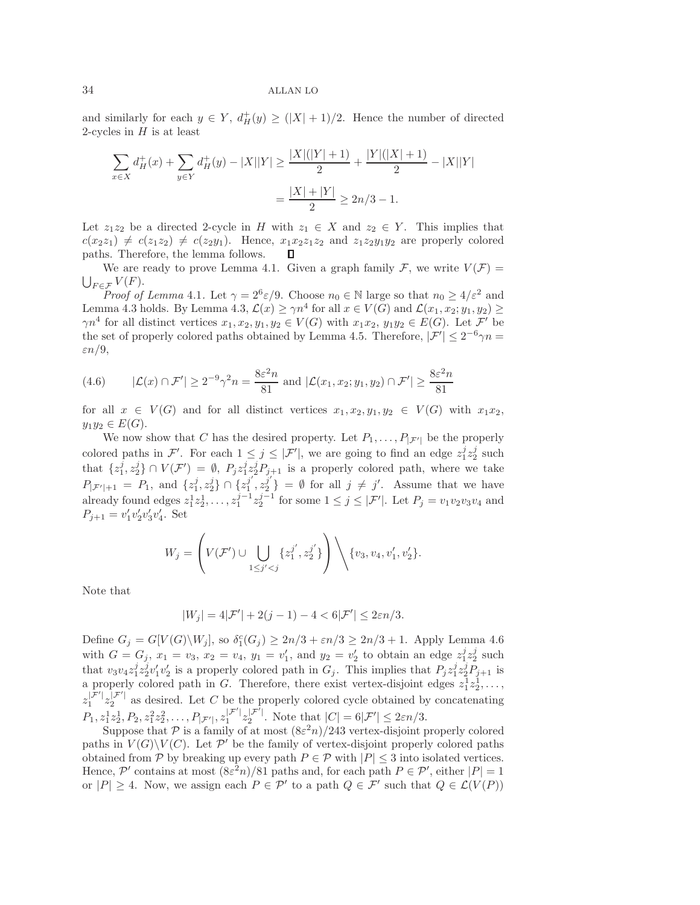and similarly for each  $y \in Y$ ,  $d^+_H(y) \geq (|X|+1)/2$ . Hence the number of directed 2-cycles in  $H$  is at least

$$
\sum_{x \in X} d_H^+(x) + \sum_{y \in Y} d_H^+(y) - |X||Y| \ge \frac{|X|(|Y|+1)}{2} + \frac{|Y|(|X|+1)}{2} - |X||Y|
$$
  
=  $\frac{|X|+|Y|}{2} \ge 2n/3 - 1$ .

Let  $z_1z_2$  be a directed 2-cycle in H with  $z_1 \in X$  and  $z_2 \in Y$ . This implies that  $c(x_2z_1) \neq c(z_1z_2) \neq c(z_2y_1)$ . Hence,  $x_1x_2z_1z_2$  and  $z_1z_2y_1y_2$  are properly colored paths. Therefore, the lemma follows.  $\Box$ 

We are ready to prove Lemma 4.1. Given a graph family  $\mathcal{F}$ , we write  $V(\mathcal{F}) =$  $\bigcup_{F \in \mathcal{F}} V(F).$ 

*Proof of Lemma* 4.1. Let  $\gamma = 2^6 \varepsilon/9$ . Choose  $n_0 \in \mathbb{N}$  large so that  $n_0 \geq 4/\varepsilon^2$  and Lemma 4.3 holds. By Lemma 4.3,  $\mathcal{L}(x) \geq \gamma n^4$  for all  $x \in V(G)$  and  $\mathcal{L}(x_1, x_2; y_1, y_2) \geq$  $\gamma n^4$  for all distinct vertices  $x_1, x_2, y_1, y_2 \in V(G)$  with  $x_1x_2, y_1y_2 \in E(G)$ . Let  $\mathcal{F}'$  be the set of properly colored paths obtained by Lemma 4.5. Therefore,  $|\mathcal{F}'| \leq 2^{-6}\gamma n =$  $\varepsilon n/9$ ,

(4.6) 
$$
|\mathcal{L}(x) \cap \mathcal{F}'| \ge 2^{-9}\gamma^2 n = \frac{8\varepsilon^2 n}{81} \text{ and } |\mathcal{L}(x_1, x_2; y_1, y_2) \cap \mathcal{F}'| \ge \frac{8\varepsilon^2 n}{81}
$$

for all  $x \in V(G)$  and for all distinct vertices  $x_1, x_2, y_1, y_2 \in V(G)$  with  $x_1x_2$ ,  $y_1y_2 \in E(G)$ .

We now show that C has the desired property. Let  $P_1, \ldots, P_{|\mathcal{F}'|}$  be the properly colored paths in F'. For each  $1 \leq j \leq |\mathcal{F}'|$ , we are going to find an edge  $z_1^j z_2^j$  such that  $\{z_1^j, z_2^j\} \cap V(\mathcal{F}') = \emptyset$ ,  $P_j z_1^j \overline{z_2^j} P_{j+1}$  is a properly colored path, where we take  $P_{|\mathcal{F}'|+1} = P_1$ , and  $\{z_1^j, z_2^j\} \cap \{z_1^{j'}, z_2^{j'}\} = \emptyset$  for all  $j \neq j'$ . Assume that we have already found edges  $z_1^1 z_2^1, \ldots, z_1^{j-1} z_2^{j-1}$  for some  $1 \leq j \leq |\mathcal{F}'|$ . Let  $P_j = v_1 v_2 v_3 v_4$  and  $P_{j+1} = v'_1 v'_2 v'_3 v'_4$ . Set

$$
W_j = \left( V(\mathcal{F}') \cup \bigcup_{1 \leq j' < j} \{ z_1^{j'}, z_2^{j'} \} \right) \setminus \{ v_3, v_4, v_1', v_2' \}.
$$

Note that

$$
|W_j| = 4|\mathcal{F}'| + 2(j-1) - 4 < 6|\mathcal{F}'| \leq 2\varepsilon n/3.
$$

Define  $G_j = G[V(G)\setminus W_j]$ , so  $\delta_1^c(G_j) \geq 2n/3 + \varepsilon n/3 \geq 2n/3 + 1$ . Apply Lemma 4.6 with  $G = G_j$ ,  $x_1 = v_3$ ,  $x_2 = v_4$ ,  $y_1 = v'_1$ , and  $y_2 = v'_2$  to obtain an edge  $z_1^j z_2^j$  such that  $v_3v_4z_1^jz_2^jv_1'v_2'$  is a properly colored path in  $G_j$ . This implies that  $P_jz_1^jz_2^jP_{j+1}$  is a properly colored path in G. Therefore, there exist vertex-disjoint edges  $z_1^{\dagger}z_2^{\dagger}, \ldots$ ,  $z_1^{\mathcal{F}'|} z_2^{\mathcal{F}'|}$  as desired. Let C be the properly colored cycle obtained by concatenating  $P_1, z_1^1 z_2^1, P_2, z_1^2 z_2^2, \ldots, P_{|\mathcal{F}'|}, z_1^{|\mathcal{F}'|} z_2^{|\mathcal{F}'|}$ . Note that  $|C| = 6|\mathcal{F}'| \leq 2\varepsilon n/3$ .

Suppose that P is a family of at most  $(8\varepsilon^2 n)/243$  vertex-disjoint properly colored paths in  $V(G)\backslash V(C)$ . Let P' be the family of vertex-disjoint properly colored paths obtained from P by breaking up every path  $P \in \mathcal{P}$  with  $|P| \leq 3$  into isolated vertices. Hence, P' contains at most  $(8\varepsilon^2 n)/81$  paths and, for each path  $P \in \mathcal{P}'$ , either  $|P|=1$ or  $|P| \geq 4$ . Now, we assign each  $P \in \mathcal{P}'$  to a path  $Q \in \mathcal{F}'$  such that  $Q \in \mathcal{L}(V(P))$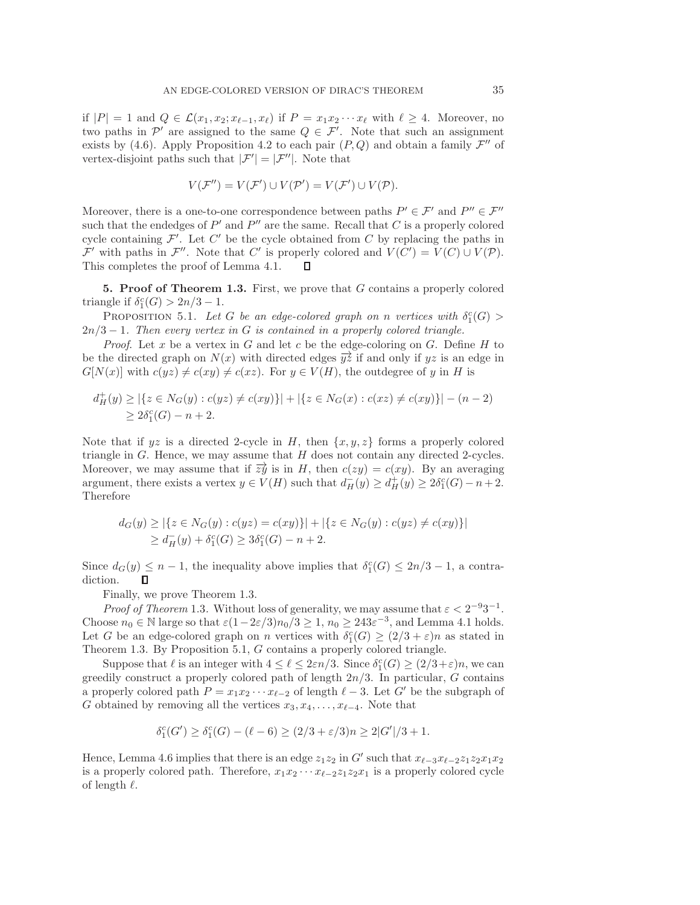if  $|P| = 1$  and  $Q \in \mathcal{L}(x_1, x_2; x_{\ell-1}, x_{\ell})$  if  $P = x_1 x_2 \cdots x_{\ell}$  with  $\ell \geq 4$ . Moreover, no two paths in  $\mathcal{P}'$  are assigned to the same  $Q \in \mathcal{F}'$ . Note that such an assignment exists by (4.6). Apply Proposition 4.2 to each pair  $(P, Q)$  and obtain a family  $\mathcal{F}''$  of vertex-disjoint paths such that  $|\mathcal{F}'| = |\mathcal{F}''|$ . Note that

$$
V(\mathcal{F}'') = V(\mathcal{F}') \cup V(\mathcal{P}') = V(\mathcal{F}') \cup V(\mathcal{P}).
$$

Moreover, there is a one-to-one correspondence between paths  $P' \in \mathcal{F}'$  and  $P'' \in \mathcal{F}''$ such that the endedges of  $P'$  and  $P''$  are the same. Recall that C is a properly colored cycle containing  $\mathcal{F}'$ . Let  $C'$  be the cycle obtained from C by replacing the paths in  $\mathcal{F}'$  with paths in  $\mathcal{F}''$ . Note that C' is properly colored and  $V(C') = V(C) \cup V(\mathcal{P})$ . This completes the proof of Lemma 4.1.  $\Box$ 

**5. Proof of Theorem 1.3.** First, we prove that G contains a properly colored triangle if  $\delta_1^c(G) > 2n/3 - 1$ .

PROPOSITION 5.1. Let G be an edge-colored graph on n vertices with  $\delta_1^c(G)$ 2n/3 − 1*. Then every vertex in* G *is contained in a properly colored triangle.*

*Proof.* Let x be a vertex in  $G$  and let c be the edge-coloring on  $G$ . Define  $H$  to be the directed graph on  $N(x)$  with directed edges  $\overrightarrow{yz}$  if and only if yz is an edge in  $G[N(x)]$  with  $c(yz) \neq c(xy) \neq c(xz)$ . For  $y \in V(H)$ , the outdegree of y in H is

$$
d_H^+(y) \ge |\{z \in N_G(y) : c(yz) \neq c(xy)\}| + |\{z \in N_G(x) : c(xz) \neq c(xy)\}| - (n-2) \ge 2\delta_1^c(G) - n + 2.
$$

Note that if  $yz$  is a directed 2-cycle in H, then  $\{x, y, z\}$  forms a properly colored triangle in  $G$ . Hence, we may assume that  $H$  does not contain any directed 2-cycles. Moreover, we may assume that if  $\overline{z}y$  is in H, then  $c(zy) = c(xy)$ . By an averaging argument, there exists a vertex  $y \in V(H)$  such that  $d_H(y) \geq d_H^+(y) \geq 2\delta_1^c(G) - n + 2$ . Therefore

$$
d_G(y) \ge |\{z \in N_G(y) : c(yz) = c(xy)\}| + |\{z \in N_G(y) : c(yz) \neq c(xy)\}|
$$
  
 
$$
\ge d_H^-(y) + \delta_1^c(G) \ge 3\delta_1^c(G) - n + 2.
$$

Since  $d_G(y) \leq n-1$ , the inequality above implies that  $\delta_1^c(G) \leq 2n/3 - 1$ , a contradiction. Π

Finally, we prove Theorem 1.3.

*Proof of Theorem* 1.3. Without loss of generality, we may assume that  $\varepsilon < 2^{-9}3^{-1}$ . Choose  $n_0 \in \mathbb{N}$  large so that  $\varepsilon(1-2\varepsilon/3)n_0/3 \geq 1$ ,  $n_0 \geq 243\varepsilon^{-3}$ , and Lemma 4.1 holds. Let G be an edge-colored graph on n vertices with  $\delta_1^c(G) \geq (2/3 + \varepsilon)n$  as stated in Theorem 1.3. By Proposition 5.1, G contains a properly colored triangle.

Suppose that  $\ell$  is an integer with  $4 \leq \ell \leq 2\varepsilon n/3$ . Since  $\delta_1^c(G) \geq (2/3 + \varepsilon)n$ , we can greedily construct a properly colored path of length  $2n/3$ . In particular, G contains a properly colored path  $P = x_1 x_2 \cdots x_{\ell-2}$  of length  $\ell - 3$ . Let G' be the subgraph of G obtained by removing all the vertices  $x_3, x_4, \ldots, x_{\ell-4}$ . Note that

$$
\delta_1^c(G') \ge \delta_1^c(G) - (\ell - 6) \ge (2/3 + \varepsilon/3)n \ge 2|G'|/3 + 1.
$$

Hence, Lemma 4.6 implies that there is an edge  $z_1z_2$  in G' such that  $x_{\ell-3}x_{\ell-2}z_1z_2x_1x_2$ is a properly colored path. Therefore,  $x_1x_2 \cdots x_{\ell-2}z_1z_2x_1$  is a properly colored cycle of length  $\ell$ .